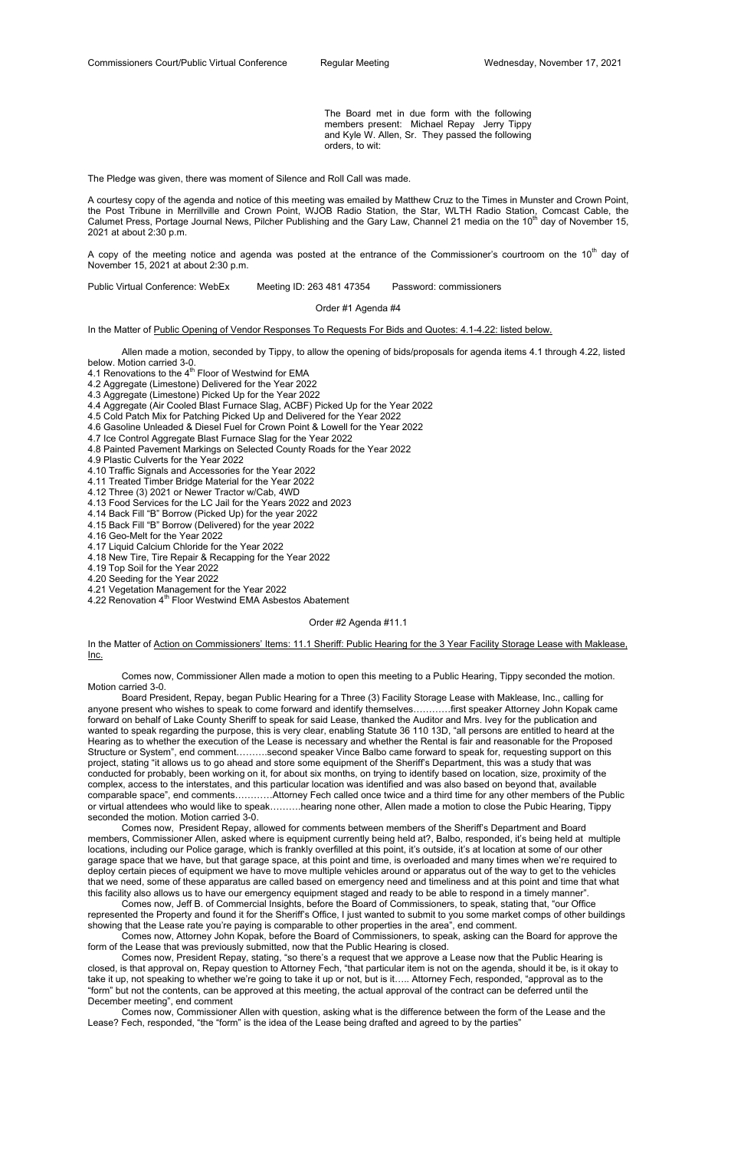The Board met in due form with the following members present: Michael Repay Jerry Tippy and Kyle W. Allen, Sr. They passed the following orders, to wit:

The Pledge was given, there was moment of Silence and Roll Call was made.

A copy of the meeting notice and agenda was posted at the entrance of the Commissioner's courtroom on the 10<sup>th</sup> day of November 15, 2021 at about 2:30 p.m.

A courtesy copy of the agenda and notice of this meeting was emailed by Matthew Cruz to the Times in Munster and Crown Point, the Post Tribune in Merrillville and Crown Point, WJOB Radio Station, the Star, WLTH Radio Station, Comcast Cable, the Calumet Press, Portage Journal News, Pilcher Publishing and the Gary Law, Channel 21 media on the 10<sup>th</sup> day of November 15, 2021 at about 2:30 p.m.

Public Virtual Conference: WebEx Meeting ID: 263 481 47354 Password: commissioners

Order #1 Agenda #4

In the Matter of Public Opening of Vendor Responses To Requests For Bids and Quotes: 4.1-4.22: listed below.

 Allen made a motion, seconded by Tippy, to allow the opening of bids/proposals for agenda items 4.1 through 4.22, listed below. Motion carried 3-0.

4.1 Renovations to the  $4<sup>th</sup>$  Floor of Westwind for EMA

4.2 Aggregate (Limestone) Delivered for the Year 2022

4.3 Aggregate (Limestone) Picked Up for the Year 2022

4.4 Aggregate (Air Cooled Blast Furnace Slag, ACBF) Picked Up for the Year 2022

4.5 Cold Patch Mix for Patching Picked Up and Delivered for the Year 2022

4.6 Gasoline Unleaded & Diesel Fuel for Crown Point & Lowell for the Year 2022

4.7 Ice Control Aggregate Blast Furnace Slag for the Year 2022

4.8 Painted Pavement Markings on Selected County Roads for the Year 2022

4.9 Plastic Culverts for the Year 2022

4.10 Traffic Signals and Accessories for the Year 2022

4.11 Treated Timber Bridge Material for the Year 2022

4.12 Three (3) 2021 or Newer Tractor w/Cab, 4WD

4.13 Food Services for the LC Jail for the Years 2022 and 2023

4.14 Back Fill "B" Borrow (Picked Up) for the year 2022

4.15 Back Fill "B" Borrow (Delivered) for the year 2022

4.16 Geo-Melt for the Year 2022

4.17 Liquid Calcium Chloride for the Year 2022

4.18 New Tire, Tire Repair & Recapping for the Year 2022

4.19 Top Soil for the Year 2022

4.20 Seeding for the Year 2022

4.21 Vegetation Management for the Year 2022

4.22 Renovation 4<sup>th</sup> Floor Westwind EMA Asbestos Abatement

Order #2 Agenda #11.1

In the Matter of Action on Commissioners' Items: 11.1 Sheriff: Public Hearing for the 3 Year Facility Storage Lease with Maklease, <u>Inc.</u>

 Comes now, Commissioner Allen made a motion to open this meeting to a Public Hearing, Tippy seconded the motion. Motion carried 3-0.

 Board President, Repay, began Public Hearing for a Three (3) Facility Storage Lease with Maklease, Inc., calling for anyone present who wishes to speak to come forward and identify themselves…………first speaker Attorney John Kopak came forward on behalf of Lake County Sheriff to speak for said Lease, thanked the Auditor and Mrs. Ivey for the publication and wanted to speak regarding the purpose, this is very clear, enabling Statute 36 110 13D, "all persons are entitled to heard at the Hearing as to whether the execution of the Lease is necessary and whether the Rental is fair and reasonable for the Proposed Structure or System", end comment……….second speaker Vince Balbo came forward to speak for, requesting support on this project, stating "it allows us to go ahead and store some equipment of the Sheriff's Department, this was a study that was conducted for probably, been working on it, for about six months, on trying to identify based on location, size, proximity of the complex, access to the interstates, and this particular location was identified and was also based on beyond that, available comparable space", end comments…………Attorney Fech called once twice and a third time for any other members of the Public or virtual attendees who would like to speak……….hearing none other, Allen made a motion to close the Pubic Hearing, Tippy seconded the motion. Motion carried 3-0.

 Comes now, President Repay, allowed for comments between members of the Sheriff's Department and Board members, Commissioner Allen, asked where is equipment currently being held at?, Balbo, responded, it's being held at multiple locations, including our Police garage, which is frankly overfilled at this point, it's outside, it's at location at some of our other garage space that we have, but that garage space, at this point and time, is overloaded and many times when we're required to deploy certain pieces of equipment we have to move multiple vehicles around or apparatus out of the way to get to the vehicles that we need, some of these apparatus are called based on emergency need and timeliness and at this point and time that what this facility also allows us to have our emergency equipment staged and ready to be able to respond in a timely manner".

 Comes now, Jeff B. of Commercial Insights, before the Board of Commissioners, to speak, stating that, "our Office represented the Property and found it for the Sheriff's Office, I just wanted to submit to you some market comps of other buildings showing that the Lease rate you're paying is comparable to other properties in the area", end comment.

 Comes now, Attorney John Kopak, before the Board of Commissioners, to speak, asking can the Board for approve the form of the Lease that was previously submitted, now that the Public Hearing is closed.

 Comes now, President Repay, stating, "so there's a request that we approve a Lease now that the Public Hearing is closed, is that approval on, Repay question to Attorney Fech, "that particular item is not on the agenda, should it be, is it okay to take it up, not speaking to whether we're going to take it up or not, but is it….. Attorney Fech, responded, "approval as to the "form" but not the contents, can be approved at this meeting, the actual approval of the contract can be deferred until the December meeting", end comment

 Comes now, Commissioner Allen with question, asking what is the difference between the form of the Lease and the Lease? Fech, responded, "the "form" is the idea of the Lease being drafted and agreed to by the parties"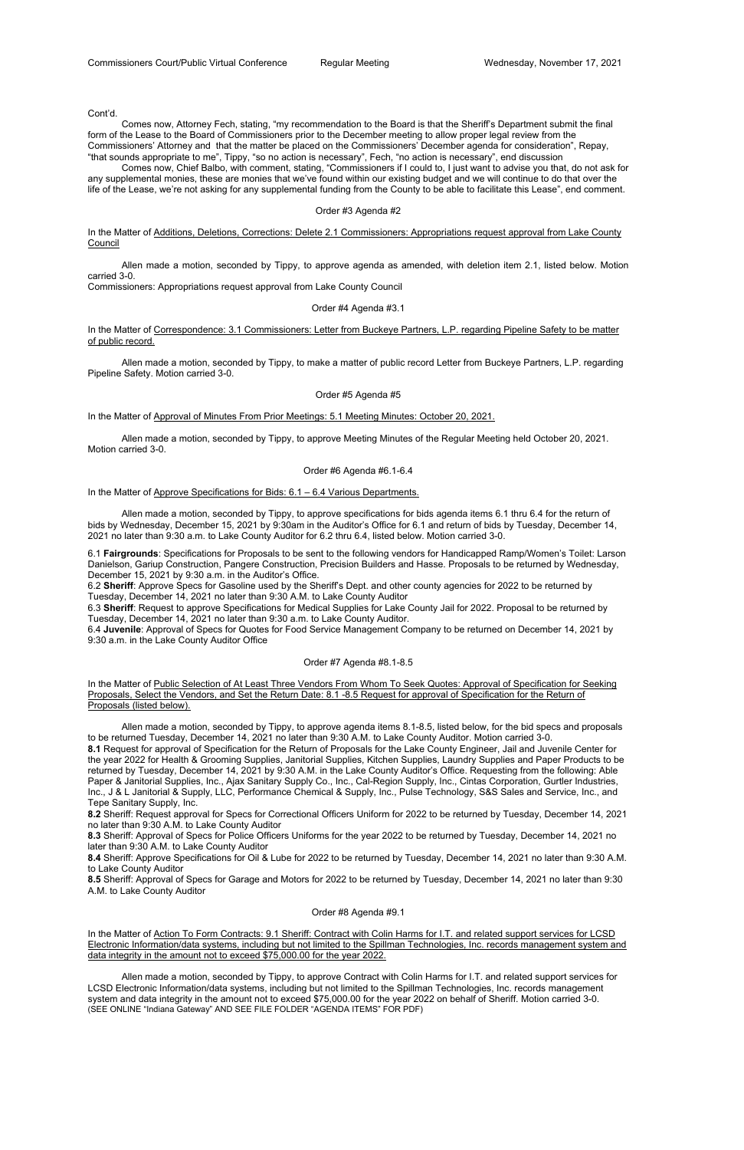Cont'd.

 Comes now, Attorney Fech, stating, "my recommendation to the Board is that the Sheriff's Department submit the final form of the Lease to the Board of Commissioners prior to the December meeting to allow proper legal review from the Commissioners' Attorney and that the matter be placed on the Commissioners' December agenda for consideration", Repay, "that sounds appropriate to me", Tippy, "so no action is necessary", Fech, "no action is necessary", end discussion

In the Matter of Correspondence: 3.1 Commissioners: Letter from Buckeye Partners, L.P. regarding Pipeline Safety to be matter of public record.

 Comes now, Chief Balbo, with comment, stating, "Commissioners if I could to, I just want to advise you that, do not ask for any supplemental monies, these are monies that we've found within our existing budget and we will continue to do that over the life of the Lease, we're not asking for any supplemental funding from the County to be able to facilitate this Lease", end comment.

#### Order #3 Agenda #2

In the Matter of Additions, Deletions, Corrections: Delete 2.1 Commissioners: Appropriations request approval from Lake County **Council** 

 Allen made a motion, seconded by Tippy, to approve agenda as amended, with deletion item 2.1, listed below. Motion carried 3-0.

Commissioners: Appropriations request approval from Lake County Council

Order #4 Agenda #3.1

 Allen made a motion, seconded by Tippy, to make a matter of public record Letter from Buckeye Partners, L.P. regarding Pipeline Safety. Motion carried 3-0.

# Order #5 Agenda #5

In the Matter of Approval of Minutes From Prior Meetings: 5.1 Meeting Minutes: October 20, 2021.

In the Matter of Public Selection of At Least Three Vendors From Whom To Seek Quotes: Approval of Specification for Seeking Proposals, Select the Vendors, and Set the Return Date: 8.1 -8.5 Request for approval of Specification for the Return of Proposals (listed below).

 Allen made a motion, seconded by Tippy, to approve Meeting Minutes of the Regular Meeting held October 20, 2021. Motion carried 3-0.

#### Order #6 Agenda #6.1-6.4

In the Matter of Approve Specifications for Bids: 6.1 – 6.4 Various Departments.

 Allen made a motion, seconded by Tippy, to approve specifications for bids agenda items 6.1 thru 6.4 for the return of bids by Wednesday, December 15, 2021 by 9:30am in the Auditor's Office for 6.1 and return of bids by Tuesday, December 14, 2021 no later than 9:30 a.m. to Lake County Auditor for 6.2 thru 6.4, listed below. Motion carried 3-0.

6.1 **Fairgrounds**: Specifications for Proposals to be sent to the following vendors for Handicapped Ramp/Women's Toilet: Larson Danielson, Gariup Construction, Pangere Construction, Precision Builders and Hasse. Proposals to be returned by Wednesday, December 15, 2021 by 9:30 a.m. in the Auditor's Office.

6.2 **Sheriff**: Approve Specs for Gasoline used by the Sheriff's Dept. and other county agencies for 2022 to be returned by Tuesday, December 14, 2021 no later than 9:30 A.M. to Lake County Auditor

6.3 **Sheriff**: Request to approve Specifications for Medical Supplies for Lake County Jail for 2022. Proposal to be returned by Tuesday, December 14, 2021 no later than 9:30 a.m. to Lake County Auditor.

6.4 **Juvenile**: Approval of Specs for Quotes for Food Service Management Company to be returned on December 14, 2021 by 9:30 a.m. in the Lake County Auditor Office

#### Order #7 Agenda #8.1-8.5

 Allen made a motion, seconded by Tippy, to approve agenda items 8.1-8.5, listed below, for the bid specs and proposals to be returned Tuesday, December 14, 2021 no later than 9:30 A.M. to Lake County Auditor. Motion carried 3-0. **8.1** Request for approval of Specification for the Return of Proposals for the Lake County Engineer, Jail and Juvenile Center for the year 2022 for Health & Grooming Supplies, Janitorial Supplies, Kitchen Supplies, Laundry Supplies and Paper Products to be returned by Tuesday, December 14, 2021 by 9:30 A.M. in the Lake County Auditor's Office. Requesting from the following: Able Paper & Janitorial Supplies, Inc., Ajax Sanitary Supply Co., Inc., Cal-Region Supply, Inc., Cintas Corporation, Gurtler Industries, Inc., J & L Janitorial & Supply, LLC, Performance Chemical & Supply, Inc., Pulse Technology, S&S Sales and Service, Inc., and Tepe Sanitary Supply, Inc.

**8.2** Sheriff: Request approval for Specs for Correctional Officers Uniform for 2022 to be returned by Tuesday, December 14, 2021 no later than 9:30 A.M. to Lake County Auditor

**8.3** Sheriff: Approval of Specs for Police Officers Uniforms for the year 2022 to be returned by Tuesday, December 14, 2021 no

later than 9:30 A.M. to Lake County Auditor

**8.4** Sheriff: Approve Specifications for Oil & Lube for 2022 to be returned by Tuesday, December 14, 2021 no later than 9:30 A.M. to Lake County Auditor

**8.5** Sheriff: Approval of Specs for Garage and Motors for 2022 to be returned by Tuesday, December 14, 2021 no later than 9:30 A.M. to Lake County Auditor

# Order #8 Agenda #9.1

In the Matter of Action To Form Contracts: 9.1 Sheriff: Contract with Colin Harms for I.T. and related support services for LCSD Electronic Information/data systems, including but not limited to the Spillman Technologies, Inc. records management system and data integrity in the amount not to exceed \$75,000.00 for the year 2022.

 Allen made a motion, seconded by Tippy, to approve Contract with Colin Harms for I.T. and related support services for LCSD Electronic Information/data systems, including but not limited to the Spillman Technologies, Inc. records management system and data integrity in the amount not to exceed \$75,000.00 for the year 2022 on behalf of Sheriff. Motion carried 3-0. (SEE ONLINE "Indiana Gateway" AND SEE FILE FOLDER "AGENDA ITEMS" FOR PDF)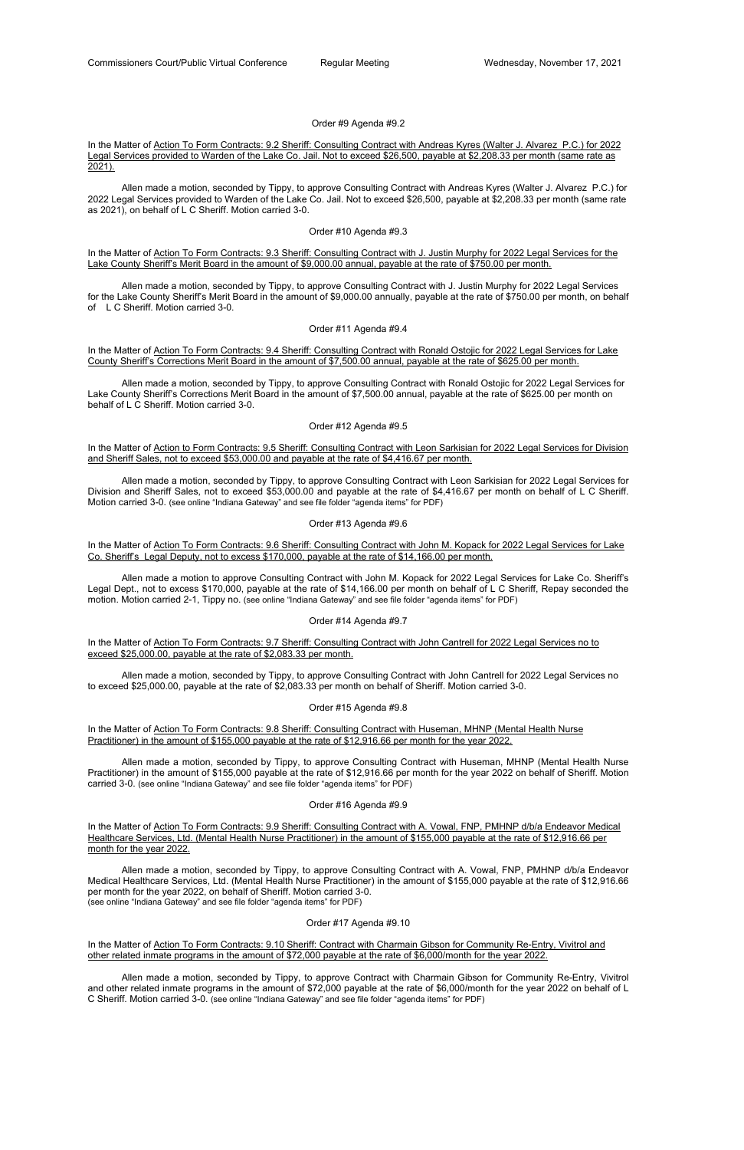Order #9 Agenda #9.2

# In the Matter of Action To Form Contracts: 9.2 Sheriff: Consulting Contract with Andreas Kyres (Walter J. Alvarez P.C.) for 2022 Legal Services provided to Warden of the Lake Co. Jail. Not to exceed \$26,500, payable at \$2,208.33 per month (same rate as 2021).

# In the Matter of Action To Form Contracts: 9.3 Sheriff: Consulting Contract with J. Justin Murphy for 2022 Legal Services for the Lake County Sheriff's Merit Board in the amount of \$9,000.00 annual, payable at the rate of \$750.00 per month.

 Allen made a motion, seconded by Tippy, to approve Consulting Contract with Andreas Kyres (Walter J. Alvarez P.C.) for 2022 Legal Services provided to Warden of the Lake Co. Jail. Not to exceed \$26,500, payable at \$2,208.33 per month (same rate as 2021), on behalf of L C Sheriff. Motion carried 3-0.

# Order #10 Agenda #9.3

In the Matter of Action To Form Contracts: 9.4 Sheriff: Consulting Contract with Ronald Ostojic for 2022 Legal Services for Lake County Sheriff's Corrections Merit Board in the amount of \$7,500.00 annual, payable at the rate of \$625.00 per month.

In the Matter of Action to Form Contracts: 9.5 Sheriff: Consulting Contract with Leon Sarkisian for 2022 Legal Services for Division and Sheriff Sales, not to exceed \$53,000.00 and payable at the rate of \$4,416.67 per month.

 Allen made a motion, seconded by Tippy, to approve Consulting Contract with J. Justin Murphy for 2022 Legal Services for the Lake County Sheriff's Merit Board in the amount of \$9,000.00 annually, payable at the rate of \$750.00 per month, on behalf of L C Sheriff. Motion carried 3-0.

# Order #11 Agenda #9.4

In the Matter of Action To Form Contracts: 9.6 Sheriff: Consulting Contract with John M. Kopack for 2022 Legal Services for Lake Co. Sheriff's Legal Deputy, not to excess \$170,000, payable at the rate of \$14,166.00 per month.

# In the Matter of Action To Form Contracts: 9.7 Sheriff: Consulting Contract with John Cantrell for 2022 Legal Services no to exceed \$25,000.00, payable at the rate of \$2,083.33 per month.

 Allen made a motion, seconded by Tippy, to approve Consulting Contract with Ronald Ostojic for 2022 Legal Services for Lake County Sheriff's Corrections Merit Board in the amount of \$7,500.00 annual, payable at the rate of \$625.00 per month on behalf of L C Sheriff. Motion carried 3-0.

# Order #12 Agenda #9.5

In the Matter of Action To Form Contracts: 9.9 Sheriff: Consulting Contract with A. Vowal, FNP, PMHNP d/b/a Endeavor Medical Healthcare Services, Ltd. (Mental Health Nurse Practitioner) in the amount of \$155,000 payable at the rate of \$12,916.66 per

 Allen made a motion, seconded by Tippy, to approve Consulting Contract with Leon Sarkisian for 2022 Legal Services for Division and Sheriff Sales, not to exceed \$53,000.00 and payable at the rate of \$4,416.67 per month on behalf of L C Sheriff. Motion carried 3-0. (see online "Indiana Gateway" and see file folder "agenda items" for PDF)

# Order #13 Agenda #9.6

# In the Matter of Action To Form Contracts: 9.10 Sheriff: Contract with Charmain Gibson for Community Re-Entry, Vivitrol and other related inmate programs in the amount of \$72,000 payable at the rate of \$6,000/month for the year 2022.

 Allen made a motion to approve Consulting Contract with John M. Kopack for 2022 Legal Services for Lake Co. Sheriff's Legal Dept., not to excess \$170,000, payable at the rate of \$14,166.00 per month on behalf of L C Sheriff, Repay seconded the motion. Motion carried 2-1, Tippy no. (see online "Indiana Gateway" and see file folder "agenda items" for PDF)

# Order #14 Agenda #9.7

 Allen made a motion, seconded by Tippy, to approve Consulting Contract with John Cantrell for 2022 Legal Services no to exceed \$25,000.00, payable at the rate of \$2,083.33 per month on behalf of Sheriff. Motion carried 3-0.

# Order #15 Agenda #9.8

In the Matter of Action To Form Contracts: 9.8 Sheriff: Consulting Contract with Huseman, MHNP (Mental Health Nurse Practitioner) in the amount of \$155,000 payable at the rate of \$12,916.66 per month for the year 2022.

 Allen made a motion, seconded by Tippy, to approve Consulting Contract with Huseman, MHNP (Mental Health Nurse Practitioner) in the amount of \$155,000 payable at the rate of \$12,916.66 per month for the year 2022 on behalf of Sheriff. Motion carried 3-0. (see online "Indiana Gateway" and see file folder "agenda items" for PDF)

# Order #16 Agenda #9.9

 Allen made a motion, seconded by Tippy, to approve Consulting Contract with A. Vowal, FNP, PMHNP d/b/a Endeavor Medical Healthcare Services, Ltd. (Mental Health Nurse Practitioner) in the amount of \$155,000 payable at the rate of \$12,916.66 per month for the year 2022, on behalf of Sheriff. Motion carried 3-0. (see online "Indiana Gateway" and see file folder "agenda items" for PDF)

Order #17 Agenda #9.10

 Allen made a motion, seconded by Tippy, to approve Contract with Charmain Gibson for Community Re-Entry, Vivitrol and other related inmate programs in the amount of \$72,000 payable at the rate of \$6,000/month for the year 2022 on behalf of L C Sheriff. Motion carried 3-0. (see online "Indiana Gateway" and see file folder "agenda items" for PDF)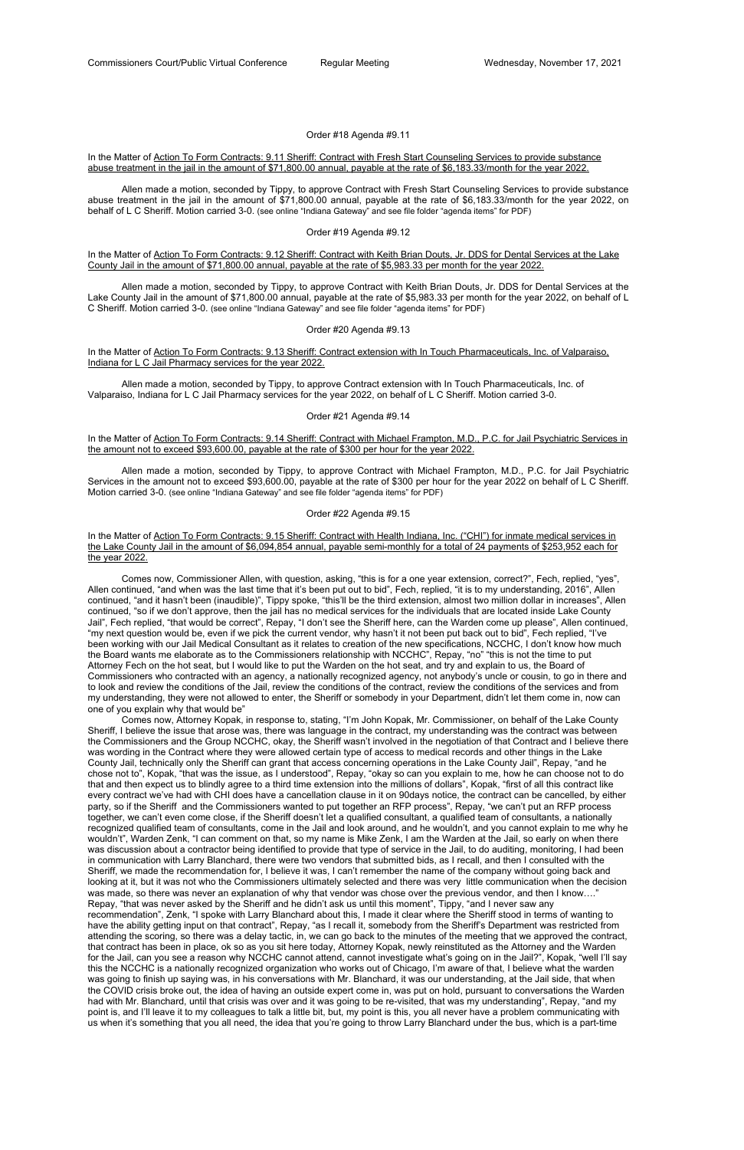# Order #18 Agenda #9.11

# In the Matter of Action To Form Contracts: 9.11 Sheriff: Contract with Fresh Start Counseling Services to provide substance abuse treatment in the jail in the amount of \$71,800.00 annual, payable at the rate of \$6,183.33/month for the year 2022.

# In the Matter of Action To Form Contracts: 9.12 Sheriff: Contract with Keith Brian Douts, Jr. DDS for Dental Services at the Lake County Jail in the amount of \$71,800.00 annual, payable at the rate of \$5,983.33 per month for the year 2022.

 Allen made a motion, seconded by Tippy, to approve Contract with Fresh Start Counseling Services to provide substance abuse treatment in the jail in the amount of \$71,800.00 annual, payable at the rate of \$6,183.33/month for the year 2022, on behalf of L C Sheriff. Motion carried 3-0. (see online "Indiana Gateway" and see file folder "agenda items" for PDF)

#### Order #19 Agenda #9.12

In the Matter of Action To Form Contracts: 9.14 Sheriff: Contract with Michael Frampton, M.D., P.C. for Jail Psychiatric Services in the amount not to exceed \$93,600.00, payable at the rate of \$300 per hour for the year 2022.

 Allen made a motion, seconded by Tippy, to approve Contract with Keith Brian Douts, Jr. DDS for Dental Services at the Lake County Jail in the amount of \$71,800.00 annual, payable at the rate of \$5,983.33 per month for the year 2022, on behalf of L C Sheriff. Motion carried 3-0. (see online "Indiana Gateway" and see file folder "agenda items" for PDF)

# Order #20 Agenda #9.13

In the Matter of Action To Form Contracts: 9.13 Sheriff: Contract extension with In Touch Pharmaceuticals, Inc. of Valparaiso, Indiana for L C Jail Pharmacy services for the year 2022.

 Allen made a motion, seconded by Tippy, to approve Contract extension with In Touch Pharmaceuticals, Inc. of Valparaiso, Indiana for L C Jail Pharmacy services for the year 2022, on behalf of L C Sheriff. Motion carried 3-0.

#### Order #21 Agenda #9.14

 Allen made a motion, seconded by Tippy, to approve Contract with Michael Frampton, M.D., P.C. for Jail Psychiatric Services in the amount not to exceed \$93,600.00, payable at the rate of \$300 per hour for the year 2022 on behalf of L C Sheriff. Motion carried 3-0. (see online "Indiana Gateway" and see file folder "agenda items" for PDF)

# Order #22 Agenda #9.15

# In the Matter of Action To Form Contracts: 9.15 Sheriff: Contract with Health Indiana, Inc. ("CHI") for inmate medical services in the Lake County Jail in the amount of \$6,094,854 annual, payable semi-monthly for a total of 24 payments of \$253,952 each for the year 2022.

 Comes now, Commissioner Allen, with question, asking, "this is for a one year extension, correct?", Fech, replied, "yes", Allen continued, "and when was the last time that it's been put out to bid", Fech, replied, "it is to my understanding, 2016", Allen continued, "and it hasn't been (inaudible)", Tippy spoke, "this'll be the third extension, almost two million dollar in increases", Allen continued, "so if we don't approve, then the jail has no medical services for the individuals that are located inside Lake County Jail", Fech replied, "that would be correct", Repay, "I don't see the Sheriff here, can the Warden come up please", Allen continued, "my next question would be, even if we pick the current vendor, why hasn't it not been put back out to bid", Fech replied, "I've been working with our Jail Medical Consultant as it relates to creation of the new specifications, NCCHC, I don't know how much the Board wants me elaborate as to the Commissioners relationship with NCCHC", Repay, "no" "this is not the time to put Attorney Fech on the hot seat, but I would like to put the Warden on the hot seat, and try and explain to us, the Board of Commissioners who contracted with an agency, a nationally recognized agency, not anybody's uncle or cousin, to go in there and to look and review the conditions of the Jail, review the conditions of the contract, review the conditions of the services and from my understanding, they were not allowed to enter, the Sheriff or somebody in your Department, didn't let them come in, now can one of you explain why that would be"

Comes now, Attorney Kopak, in response to, stating, "I'm John Kopak, Mr. Commissioner, on behalf of the Lake County Sheriff, I believe the issue that arose was, there was language in the contract, my understanding was the contract was between the Commissioners and the Group NCCHC, okay, the Sheriff wasn't involved in the negotiation of that Contract and I believe there was wording in the Contract where they were allowed certain type of access to medical records and other things in the Lake County Jail, technically only the Sheriff can grant that access concerning operations in the Lake County Jail", Repay, "and he chose not to", Kopak, "that was the issue, as I understood", Repay, "okay so can you explain to me, how he can choose not to do that and then expect us to blindly agree to a third time extension into the millions of dollars", Kopak, "first of all this contract like every contract we've had with CHI does have a cancellation clause in it on 90days notice, the contract can be cancelled, by either party, so if the Sheriff and the Commissioners wanted to put together an RFP process", Repay, "we can't put an RFP process together, we can't even come close, if the Sheriff doesn't let a qualified consultant, a qualified team of consultants, a nationally recognized qualified team of consultants, come in the Jail and look around, and he wouldn't, and you cannot explain to me why he wouldn't", Warden Zenk, "I can comment on that, so my name is Mike Zenk, I am the Warden at the Jail, so early on when there was discussion about a contractor being identified to provide that type of service in the Jail, to do auditing, monitoring, I had been in communication with Larry Blanchard, there were two vendors that submitted bids, as I recall, and then I consulted with the Sheriff, we made the recommendation for, I believe it was, I can't remember the name of the company without going back and looking at it, but it was not who the Commissioners ultimately selected and there was very little communication when the decision was made, so there was never an explanation of why that vendor was chose over the previous vendor, and then I know...." Repay, "that was never asked by the Sheriff and he didn't ask us until this moment", Tippy, "and I never saw any recommendation", Zenk, "I spoke with Larry Blanchard about this, I made it clear where the Sheriff stood in terms of wanting to have the ability getting input on that contract", Repay, "as I recall it, somebody from the Sheriff's Department was restricted from attending the scoring, so there was a delay tactic, in, we can go back to the minutes of the meeting that we approved the contract, that contract has been in place, ok so as you sit here today, Attorney Kopak, newly reinstituted as the Attorney and the Warden for the Jail, can you see a reason why NCCHC cannot attend, cannot investigate what's going on in the Jail?", Kopak, "well I'll say this the NCCHC is a nationally recognized organization who works out of Chicago, I'm aware of that, I believe what the warden was going to finish up saying was, in his conversations with Mr. Blanchard, it was our understanding, at the Jail side, that when the COVID crisis broke out, the idea of having an outside expert come in, was put on hold, pursuant to conversations the Warden had with Mr. Blanchard, until that crisis was over and it was going to be re-visited, that was my understanding", Repay, "and my point is, and I'll leave it to my colleagues to talk a little bit, but, my point is this, you all never have a problem communicating with us when it's something that you all need, the idea that you're going to throw Larry Blanchard under the bus, which is a part-time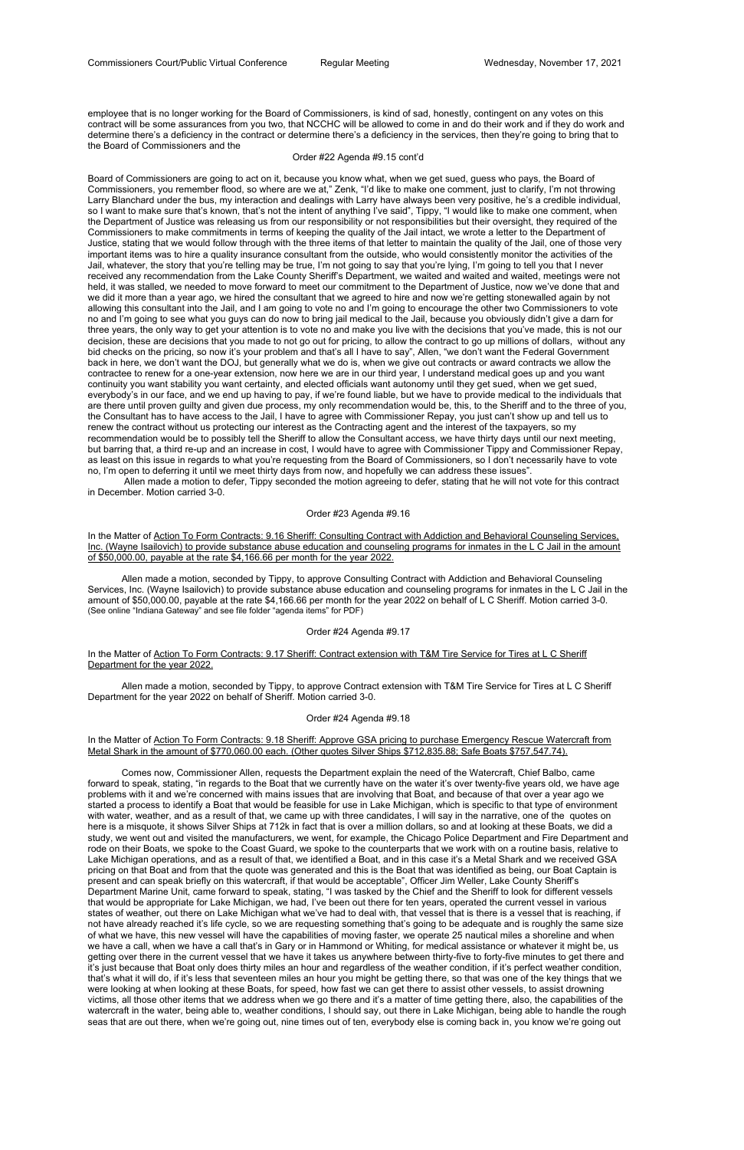employee that is no longer working for the Board of Commissioners, is kind of sad, honestly, contingent on any votes on this contract will be some assurances from you two, that NCCHC will be allowed to come in and do their work and if they do work and determine there's a deficiency in the contract or determine there's a deficiency in the services, then they're going to bring that to the Board of Commissioners and the

#### Order #22 Agenda #9.15 cont'd

In the Matter of Action To Form Contracts: 9.16 Sheriff: Consulting Contract with Addiction and Behavioral Counseling Services, Inc. (Wayne Isailovich) to provide substance abuse education and counseling programs for inmates in the L C Jail in the amount of \$50,000.00, payable at the rate \$4,166.66 per month for the year 2022.

Board of Commissioners are going to act on it, because you know what, when we get sued, guess who pays, the Board of Commissioners, you remember flood, so where are we at," Zenk, "I'd like to make one comment, just to clarify, I'm not throwing Larry Blanchard under the bus, my interaction and dealings with Larry have always been very positive, he's a credible individual, so I want to make sure that's known, that's not the intent of anything I've said", Tippy, "I would like to make one comment, when the Department of Justice was releasing us from our responsibility or not responsibilities but their oversight, they required of the Commissioners to make commitments in terms of keeping the quality of the Jail intact, we wrote a letter to the Department of Justice, stating that we would follow through with the three items of that letter to maintain the quality of the Jail, one of those very important items was to hire a quality insurance consultant from the outside, who would consistently monitor the activities of the Jail, whatever, the story that you're telling may be true, I'm not going to say that you're lying, I'm going to tell you that I never received any recommendation from the Lake County Sheriff's Department, we waited and waited and waited, meetings were not held, it was stalled, we needed to move forward to meet our commitment to the Department of Justice, now we've done that and we did it more than a year ago, we hired the consultant that we agreed to hire and now we're getting stonewalled again by not allowing this consultant into the Jail, and I am going to vote no and I'm going to encourage the other two Commissioners to vote no and I'm going to see what you guys can do now to bring jail medical to the Jail, because you obviously didn't give a darn for three years, the only way to get your attention is to vote no and make you live with the decisions that you've made, this is not our decision, these are decisions that you made to not go out for pricing, to allow the contract to go up millions of dollars, without any bid checks on the pricing, so now it's your problem and that's all I have to say", Allen, "we don't want the Federal Government back in here, we don't want the DOJ, but generally what we do is, when we give out contracts or award contracts we allow the contractee to renew for a one-year extension, now here we are in our third year, I understand medical goes up and you want continuity you want stability you want certainty, and elected officials want autonomy until they get sued, when we get sued, everybody's in our face, and we end up having to pay, if we're found liable, but we have to provide medical to the individuals that are there until proven guilty and given due process, my only recommendation would be, this, to the Sheriff and to the three of you, the Consultant has to have access to the Jail, I have to agree with Commissioner Repay, you just can't show up and tell us to renew the contract without us protecting our interest as the Contracting agent and the interest of the taxpayers, so my recommendation would be to possibly tell the Sheriff to allow the Consultant access, we have thirty days until our next meeting, but barring that, a third re-up and an increase in cost, I would have to agree with Commissioner Tippy and Commissioner Repay, as least on this issue in regards to what you're requesting from the Board of Commissioners, so I don't necessarily have to vote no, I'm open to deferring it until we meet thirty days from now, and hopefully we can address these issues".

# In the Matter of Action To Form Contracts: 9.18 Sheriff: Approve GSA pricing to purchase Emergency Rescue Watercraft from Metal Shark in the amount of \$770,060.00 each. (Other quotes Silver Ships \$712,835.88; Safe Boats \$757,547.74).

 Allen made a motion to defer, Tippy seconded the motion agreeing to defer, stating that he will not vote for this contract in December. Motion carried 3-0.

#### Order #23 Agenda #9.16

 Allen made a motion, seconded by Tippy, to approve Consulting Contract with Addiction and Behavioral Counseling Services, Inc. (Wayne Isailovich) to provide substance abuse education and counseling programs for inmates in the L C Jail in the amount of \$50,000.00, payable at the rate \$4,166.66 per month for the year 2022 on behalf of L C Sheriff. Motion carried 3-0. (See online "Indiana Gateway" and see file folder "agenda items" for PDF)

#### Order #24 Agenda #9.17

# In the Matter of Action To Form Contracts: 9.17 Sheriff: Contract extension with T&M Tire Service for Tires at L C Sheriff Department for the year 2022.

 Allen made a motion, seconded by Tippy, to approve Contract extension with T&M Tire Service for Tires at L C Sheriff Department for the year 2022 on behalf of Sheriff. Motion carried 3-0.

#### Order #24 Agenda #9.18

 Comes now, Commissioner Allen, requests the Department explain the need of the Watercraft, Chief Balbo, came forward to speak, stating, "in regards to the Boat that we currently have on the water it's over twenty-five years old, we have age problems with it and we're concerned with mains issues that are involving that Boat, and because of that over a year ago we started a process to identify a Boat that would be feasible for use in Lake Michigan, which is specific to that type of environment with water, weather, and as a result of that, we came up with three candidates, I will say in the narrative, one of the quotes on here is a misquote, it shows Silver Ships at 712k in fact that is over a million dollars, so and at looking at these Boats, we did a study, we went out and visited the manufacturers, we went, for example, the Chicago Police Department and Fire Department and rode on their Boats, we spoke to the Coast Guard, we spoke to the counterparts that we work with on a routine basis, relative to Lake Michigan operations, and as a result of that, we identified a Boat, and in this case it's a Metal Shark and we received GSA pricing on that Boat and from that the quote was generated and this is the Boat that was identified as being, our Boat Captain is present and can speak briefly on this watercraft, if that would be acceptable", Officer Jim Weller, Lake County Sheriff's Department Marine Unit, came forward to speak, stating, "I was tasked by the Chief and the Sheriff to look for different vessels that would be appropriate for Lake Michigan, we had, I've been out there for ten years, operated the current vessel in various states of weather, out there on Lake Michigan what we've had to deal with, that vessel that is there is a vessel that is reaching, if not have already reached it's life cycle, so we are requesting something that's going to be adequate and is roughly the same size of what we have, this new vessel will have the capabilities of moving faster, we operate 25 nautical miles a shoreline and when we have a call, when we have a call that's in Gary or in Hammond or Whiting, for medical assistance or whatever it might be, us getting over there in the current vessel that we have it takes us anywhere between thirty-five to forty-five minutes to get there and it's just because that Boat only does thirty miles an hour and regardless of the weather condition, if it's perfect weather condition, that's what it will do, if it's less that seventeen miles an hour you might be getting there, so that was one of the key things that we were looking at when looking at these Boats, for speed, how fast we can get there to assist other vessels, to assist drowning victims, all those other items that we address when we go there and it's a matter of time getting there, also, the capabilities of the watercraft in the water, being able to, weather conditions, I should say, out there in Lake Michigan, being able to handle the rough seas that are out there, when we're going out, nine times out of ten, everybody else is coming back in, you know we're going out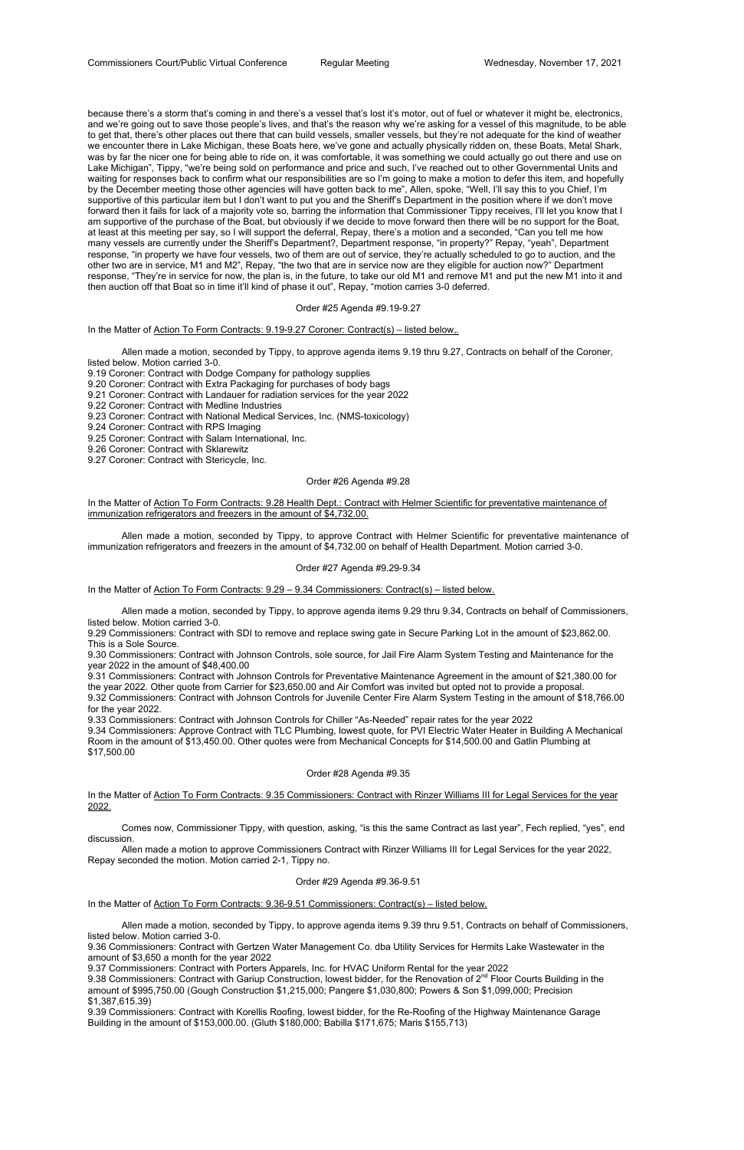because there's a storm that's coming in and there's a vessel that's lost it's motor, out of fuel or whatever it might be, electronics, and we're going out to save those people's lives, and that's the reason why we're asking for a vessel of this magnitude, to be able to get that, there's other places out there that can build vessels, smaller vessels, but they're not adequate for the kind of weather we encounter there in Lake Michigan, these Boats here, we've gone and actually physically ridden on, these Boats, Metal Shark, was by far the nicer one for being able to ride on, it was comfortable, it was something we could actually go out there and use on Lake Michigan", Tippy, "we're being sold on performance and price and such, I've reached out to other Governmental Units and waiting for responses back to confirm what our responsibilities are so I'm going to make a motion to defer this item, and hopefully by the December meeting those other agencies will have gotten back to me", Allen, spoke, "Well, I'll say this to you Chief, I'm supportive of this particular item but I don't want to put you and the Sheriff's Department in the position where if we don't move forward then it fails for lack of a majority vote so, barring the information that Commissioner Tippy receives, I'll let you know that I am supportive of the purchase of the Boat, but obviously if we decide to move forward then there will be no support for the Boat, at least at this meeting per say, so I will support the deferral, Repay, there's a motion and a seconded, "Can you tell me how many vessels are currently under the Sheriff's Department?, Department response, "in property?" Repay, "yeah", Department response, "in property we have four vessels, two of them are out of service, they're actually scheduled to go to auction, and the other two are in service, M1 and M2", Repay, "the two that are in service now are they eligible for auction now?" Department response, "They're in service for now, the plan is, in the future, to take our old M1 and remove M1 and put the new M1 into it and then auction off that Boat so in time it'll kind of phase it out", Repay, "motion carries 3-0 deferred.

In the Matter of Action To Form Contracts: 9.28 Health Dept.: Contract with Helmer Scientific for preventative maintenance of immunization refrigerators and freezers in the amount of \$4,732.00.

#### Order #25 Agenda #9.19-9.27

In the Matter of Action To Form Contracts: 9.19-9.27 Coroner: Contract(s) – listed below,.

 Allen made a motion, seconded by Tippy, to approve agenda items 9.19 thru 9.27, Contracts on behalf of the Coroner, listed below. Motion carried 3-0.

In the Matter of Action To Form Contracts: 9.35 Commissioners: Contract with Rinzer Williams III for Legal Services for the year 2022.

9.19 Coroner: Contract with Dodge Company for pathology supplies

9.20 Coroner: Contract with Extra Packaging for purchases of body bags

9.21 Coroner: Contract with Landauer for radiation services for the year 2022

9.22 Coroner: Contract with Medline Industries

9.23 Coroner: Contract with National Medical Services, Inc. (NMS-toxicology)

9.24 Coroner: Contract with RPS Imaging

9.25 Coroner: Contract with Salam International, Inc.

9.26 Coroner: Contract with Sklarewitz

9.27 Coroner: Contract with Stericycle, Inc.

9.38 Commissioners: Contract with Gariup Construction, lowest bidder, for the Renovation of 2<sup>nd</sup> Floor Courts Building in the amount of \$995,750.00 (Gough Construction \$1,215,000; Pangere \$1,030,800; Powers & Son \$1,099,000; Precision \$1,387,615.39)

#### Order #26 Agenda #9.28

 Allen made a motion, seconded by Tippy, to approve Contract with Helmer Scientific for preventative maintenance of immunization refrigerators and freezers in the amount of \$4,732.00 on behalf of Health Department. Motion carried 3-0.

#### Order #27 Agenda #9.29-9.34

In the Matter of Action To Form Contracts: 9.29 – 9.34 Commissioners: Contract(s) – listed below.

 Allen made a motion, seconded by Tippy, to approve agenda items 9.29 thru 9.34, Contracts on behalf of Commissioners, listed below. Motion carried 3-0.

9.29 Commissioners: Contract with SDI to remove and replace swing gate in Secure Parking Lot in the amount of \$23,862.00. This is a Sole Source.

9.30 Commissioners: Contract with Johnson Controls, sole source, for Jail Fire Alarm System Testing and Maintenance for the year 2022 in the amount of \$48,400.00

9.31 Commissioners: Contract with Johnson Controls for Preventative Maintenance Agreement in the amount of \$21,380.00 for the year 2022. Other quote from Carrier for \$23,650.00 and Air Comfort was invited but opted not to provide a proposal.

9.32 Commissioners: Contract with Johnson Controls for Juvenile Center Fire Alarm System Testing in the amount of \$18,766.00 for the year 2022.

9.33 Commissioners: Contract with Johnson Controls for Chiller "As-Needed" repair rates for the year 2022

9.34 Commissioners: Approve Contract with TLC Plumbing, lowest quote, for PVI Electric Water Heater in Building A Mechanical Room in the amount of \$13,450.00. Other quotes were from Mechanical Concepts for \$14,500.00 and Gatlin Plumbing at \$17,500.00

# Order #28 Agenda #9.35

 Comes now, Commissioner Tippy, with question, asking, "is this the same Contract as last year", Fech replied, "yes", end discussion.

 Allen made a motion to approve Commissioners Contract with Rinzer Williams III for Legal Services for the year 2022, Repay seconded the motion. Motion carried 2-1, Tippy no.

Order #29 Agenda #9.36-9.51

In the Matter of Action To Form Contracts: 9.36-9.51 Commissioners: Contract(s) – listed below.

 Allen made a motion, seconded by Tippy, to approve agenda items 9.39 thru 9.51, Contracts on behalf of Commissioners, listed below. Motion carried 3-0.

9.36 Commissioners: Contract with Gertzen Water Management Co. dba Utility Services for Hermits Lake Wastewater in the amount of \$3,650 a month for the year 2022

9.37 Commissioners: Contract with Porters Apparels, Inc. for HVAC Uniform Rental for the year 2022

9.39 Commissioners: Contract with Korellis Roofing, lowest bidder, for the Re-Roofing of the Highway Maintenance Garage Building in the amount of \$153,000.00. (Gluth \$180,000; Babilla \$171,675; Maris \$155,713)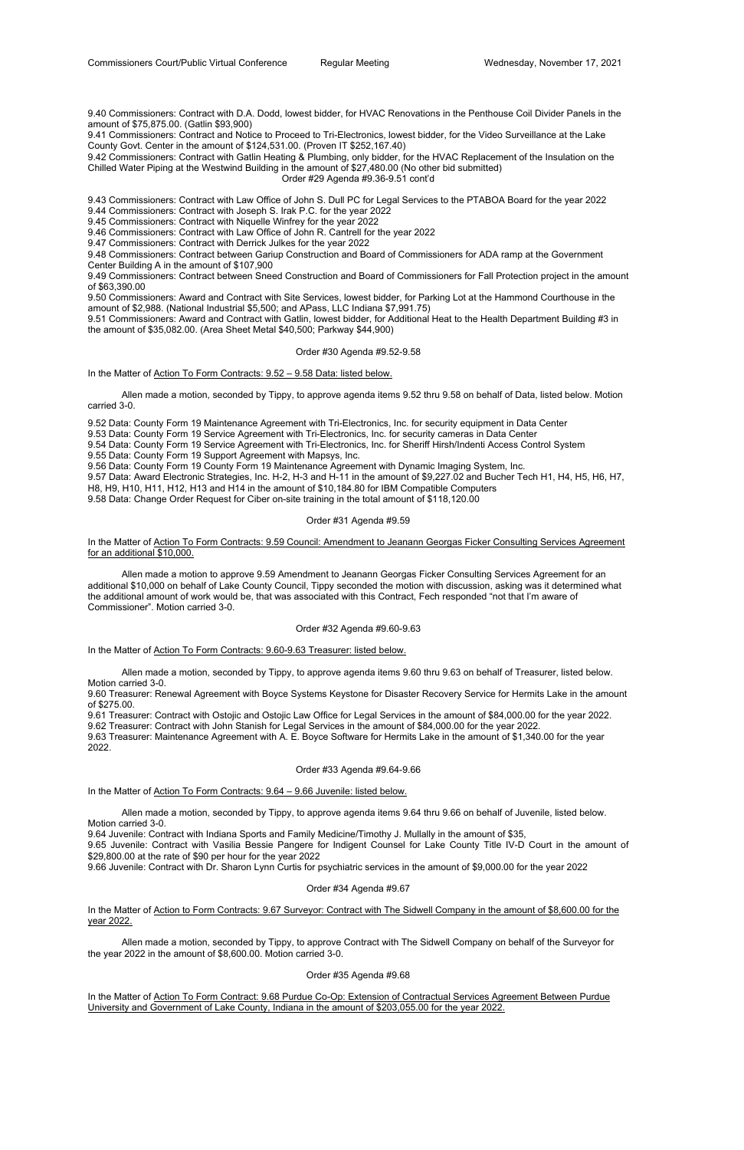9.40 Commissioners: Contract with D.A. Dodd, lowest bidder, for HVAC Renovations in the Penthouse Coil Divider Panels in the amount of \$75,875.00. (Gatlin \$93,900)

9.41 Commissioners: Contract and Notice to Proceed to Tri-Electronics, lowest bidder, for the Video Surveillance at the Lake County Govt. Center in the amount of \$124,531.00. (Proven IT \$252,167.40)

9.42 Commissioners: Contract with Gatlin Heating & Plumbing, only bidder, for the HVAC Replacement of the Insulation on the Chilled Water Piping at the Westwind Building in the amount of \$27,480.00 (No other bid submitted)

Order #29 Agenda #9.36-9.51 cont'd

9.43 Commissioners: Contract with Law Office of John S. Dull PC for Legal Services to the PTABOA Board for the year 2022

9.44 Commissioners: Contract with Joseph S. Irak P.C. for the year 2022

9.45 Commissioners: Contract with Niquelle Winfrey for the year 2022

9.46 Commissioners: Contract with Law Office of John R. Cantrell for the year 2022

9.47 Commissioners: Contract with Derrick Julkes for the year 2022

9.48 Commissioners: Contract between Gariup Construction and Board of Commissioners for ADA ramp at the Government Center Building A in the amount of \$107,900

9.49 Commissioners: Contract between Sneed Construction and Board of Commissioners for Fall Protection project in the amount of \$63,390.00

In the Matter of Action To Form Contracts: 9.59 Council: Amendment to Jeanann Georgas Ficker Consulting Services Agreement for an additional \$10,000.

9.50 Commissioners: Award and Contract with Site Services, lowest bidder, for Parking Lot at the Hammond Courthouse in the amount of \$2,988. (National Industrial \$5,500; and APass, LLC Indiana \$7,991.75)

9.51 Commissioners: Award and Contract with Gatlin, lowest bidder, for Additional Heat to the Health Department Building #3 in the amount of \$35,082.00. (Area Sheet Metal \$40,500; Parkway \$44,900)

#### Order #30 Agenda #9.52-9.58

In the Matter of Action To Form Contracts: 9.52 - 9.58 Data: listed below.

 Allen made a motion, seconded by Tippy, to approve agenda items 9.52 thru 9.58 on behalf of Data, listed below. Motion carried 3-0.

9.52 Data: County Form 19 Maintenance Agreement with Tri-Electronics, Inc. for security equipment in Data Center

9.53 Data: County Form 19 Service Agreement with Tri-Electronics, Inc. for security cameras in Data Center

9.54 Data: County Form 19 Service Agreement with Tri-Electronics, Inc. for Sheriff Hirsh/Indenti Access Control System

9.55 Data: County Form 19 Support Agreement with Mapsys, Inc.

In the Matter of Action to Form Contracts: 9.67 Surveyor: Contract with The Sidwell Company in the amount of \$8,600.00 for the year 2022.

9.56 Data: County Form 19 County Form 19 Maintenance Agreement with Dynamic Imaging System, Inc.

9.57 Data: Award Electronic Strategies, Inc. H-2, H-3 and H-11 in the amount of \$9,227.02 and Bucher Tech H1, H4, H5, H6, H7,

In the Matter of Action To Form Contract: 9.68 Purdue Co-Op: Extension of Contractual Services Agreement Between Purdue University and Government of Lake County, Indiana in the amount of \$203,055.00 for the year 2022.

H8, H9, H10, H11, H12, H13 and H14 in the amount of \$10,184.80 for IBM Compatible Computers

9.58 Data: Change Order Request for Ciber on-site training in the total amount of \$118,120.00

# Order #31 Agenda #9.59

 Allen made a motion to approve 9.59 Amendment to Jeanann Georgas Ficker Consulting Services Agreement for an additional \$10,000 on behalf of Lake County Council, Tippy seconded the motion with discussion, asking was it determined what the additional amount of work would be, that was associated with this Contract, Fech responded "not that I'm aware of Commissioner". Motion carried 3-0.

#### Order #32 Agenda #9.60-9.63

In the Matter of Action To Form Contracts: 9.60-9.63 Treasurer: listed below.

 Allen made a motion, seconded by Tippy, to approve agenda items 9.60 thru 9.63 on behalf of Treasurer, listed below. Motion carried 3-0.

9.60 Treasurer: Renewal Agreement with Boyce Systems Keystone for Disaster Recovery Service for Hermits Lake in the amount of \$275.00.

9.61 Treasurer: Contract with Ostojic and Ostojic Law Office for Legal Services in the amount of \$84,000.00 for the year 2022.

9.62 Treasurer: Contract with John Stanish for Legal Services in the amount of \$84,000.00 for the year 2022.

9.63 Treasurer: Maintenance Agreement with A. E. Boyce Software for Hermits Lake in the amount of \$1,340.00 for the year 2022.

#### Order #33 Agenda #9.64-9.66

In the Matter of Action To Form Contracts:  $9.64 - 9.66$  Juvenile: listed below.

 Allen made a motion, seconded by Tippy, to approve agenda items 9.64 thru 9.66 on behalf of Juvenile, listed below. Motion carried 3-0.

9.64 Juvenile: Contract with Indiana Sports and Family Medicine/Timothy J. Mullally in the amount of \$35,

9.65 Juvenile: Contract with Vasilia Bessie Pangere for Indigent Counsel for Lake County Title IV-D Court in the amount of \$29,800.00 at the rate of \$90 per hour for the year 2022

9.66 Juvenile: Contract with Dr. Sharon Lynn Curtis for psychiatric services in the amount of \$9,000.00 for the year 2022

Order #34 Agenda #9.67

 Allen made a motion, seconded by Tippy, to approve Contract with The Sidwell Company on behalf of the Surveyor for the year 2022 in the amount of \$8,600.00. Motion carried 3-0.

Order #35 Agenda #9.68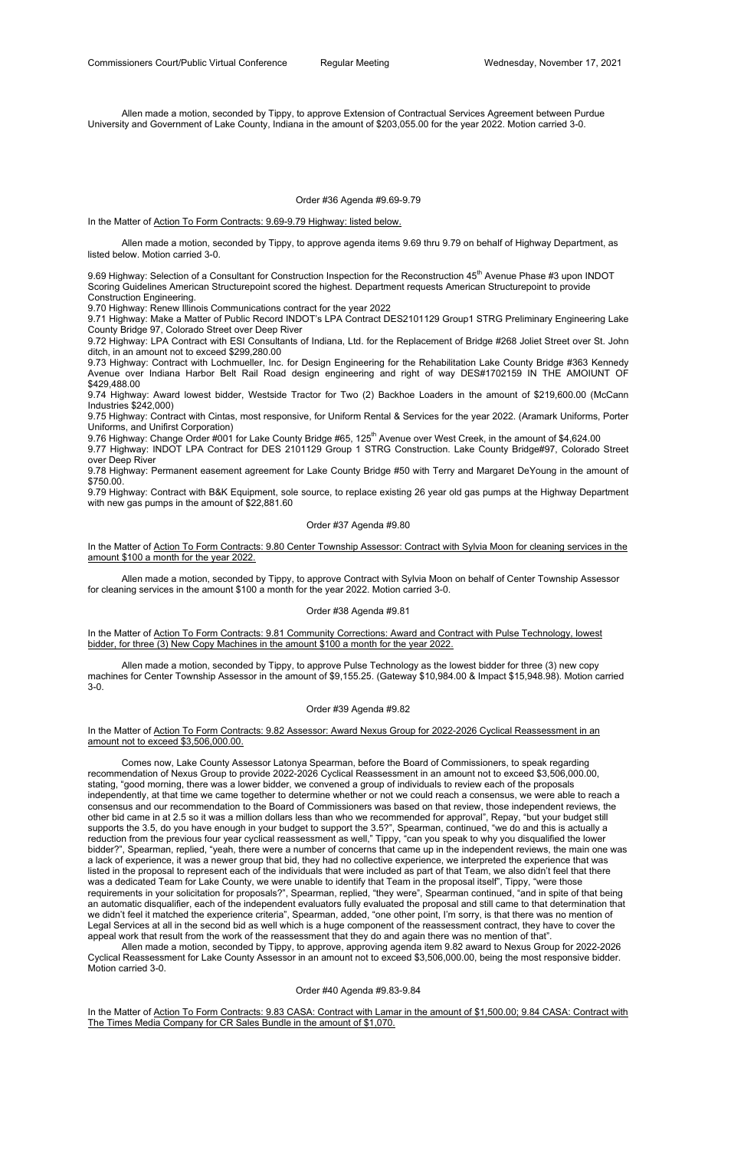Allen made a motion, seconded by Tippy, to approve Extension of Contractual Services Agreement between Purdue University and Government of Lake County, Indiana in the amount of \$203,055.00 for the year 2022. Motion carried 3-0.

Order #36 Agenda #9.69-9.79

In the Matter of Action To Form Contracts: 9.69-9.79 Highway: listed below.

9.69 Highway: Selection of a Consultant for Construction Inspection for the Reconstruction 45<sup>th</sup> Avenue Phase #3 upon INDOT Scoring Guidelines American Structurepoint scored the highest. Department requests American Structurepoint to provide Construction Engineering.

 Allen made a motion, seconded by Tippy, to approve agenda items 9.69 thru 9.79 on behalf of Highway Department, as listed below. Motion carried 3-0.

9.70 Highway: Renew Illinois Communications contract for the year 2022

9.71 Highway: Make a Matter of Public Record INDOT's LPA Contract DES2101129 Group1 STRG Preliminary Engineering Lake County Bridge 97, Colorado Street over Deep River

9.72 Highway: LPA Contract with ESI Consultants of Indiana, Ltd. for the Replacement of Bridge #268 Joliet Street over St. John ditch, in an amount not to exceed \$299,280.00

9.73 Highway: Contract with Lochmueller, Inc. for Design Engineering for the Rehabilitation Lake County Bridge #363 Kennedy Avenue over Indiana Harbor Belt Rail Road design engineering and right of way DES#1702159 IN THE AMOIUNT OF \$429,488.00

In the Matter of Action To Form Contracts: 9.81 Community Corrections: Award and Contract with Pulse Technology, lowest bidder, for three (3) New Copy Machines in the amount \$100 a month for the year 2022.

9.74 Highway: Award lowest bidder, Westside Tractor for Two (2) Backhoe Loaders in the amount of \$219,600.00 (McCann Industries \$242,000)

9.75 Highway: Contract with Cintas, most responsive, for Uniform Rental & Services for the year 2022. (Aramark Uniforms, Porter Uniforms, and Unifirst Corporation)

9.76 Highway: Change Order #001 for Lake County Bridge #65, 125<sup>th</sup> Avenue over West Creek, in the amount of \$4,624.00

9.77 Highway: INDOT LPA Contract for DES 2101129 Group 1 STRG Construction. Lake County Bridge#97, Colorado Street over Deep River

9.78 Highway: Permanent easement agreement for Lake County Bridge #50 with Terry and Margaret DeYoung in the amount of \$750.00.

9.79 Highway: Contract with B&K Equipment, sole source, to replace existing 26 year old gas pumps at the Highway Department with new gas pumps in the amount of \$22,881.60

# Order #37 Agenda #9.80

In the Matter of Action To Form Contracts: 9.80 Center Township Assessor: Contract with Sylvia Moon for cleaning services in the amount \$100 a month for the year 2022.

 Allen made a motion, seconded by Tippy, to approve Contract with Sylvia Moon on behalf of Center Township Assessor for cleaning services in the amount \$100 a month for the year 2022. Motion carried 3-0.

# Order #38 Agenda #9.81

 Allen made a motion, seconded by Tippy, to approve Pulse Technology as the lowest bidder for three (3) new copy machines for Center Township Assessor in the amount of \$9,155.25. (Gateway \$10,984.00 & Impact \$15,948.98). Motion carried 3-0.

#### Order #39 Agenda #9.82

In the Matter of Action To Form Contracts: 9.82 Assessor: Award Nexus Group for 2022-2026 Cyclical Reassessment in an amount not to exceed \$3,506,000.00.

 Comes now, Lake County Assessor Latonya Spearman, before the Board of Commissioners, to speak regarding recommendation of Nexus Group to provide 2022-2026 Cyclical Reassessment in an amount not to exceed \$3,506,000.00, stating, "good morning, there was a lower bidder, we convened a group of individuals to review each of the proposals independently, at that time we came together to determine whether or not we could reach a consensus, we were able to reach a consensus and our recommendation to the Board of Commissioners was based on that review, those independent reviews, the other bid came in at 2.5 so it was a million dollars less than who we recommended for approval", Repay, "but your budget still supports the 3.5, do you have enough in your budget to support the 3.5?", Spearman, continued, "we do and this is actually a reduction from the previous four year cyclical reassessment as well," Tippy, "can you speak to why you disqualified the lower bidder?", Spearman, replied, "yeah, there were a number of concerns that came up in the independent reviews, the main one was a lack of experience, it was a newer group that bid, they had no collective experience, we interpreted the experience that was listed in the proposal to represent each of the individuals that were included as part of that Team, we also didn't feel that there was a dedicated Team for Lake County, we were unable to identify that Team in the proposal itself", Tippy, "were those requirements in your solicitation for proposals?", Spearman, replied, "they were", Spearman continued, "and in spite of that being an automatic disqualifier, each of the independent evaluators fully evaluated the proposal and still came to that determination that we didn't feel it matched the experience criteria", Spearman, added, "one other point, I'm sorry, is that there was no mention of Legal Services at all in the second bid as well which is a huge component of the reassessment contract, they have to cover the appeal work that result from the work of the reassessment that they do and again there was no mention of that".

Allen made a motion, seconded by Tippy, to approve, approving agenda item 9.82 award to Nexus Group for 2022-2026 Cyclical Reassessment for Lake County Assessor in an amount not to exceed \$3,506,000.00, being the most responsive bidder. Motion carried 3-0.

Order #40 Agenda #9.83-9.84

In the Matter of Action To Form Contracts: 9.83 CASA: Contract with Lamar in the amount of \$1,500.00; 9.84 CASA: Contract with The Times Media Company for CR Sales Bundle in the amount of \$1,070.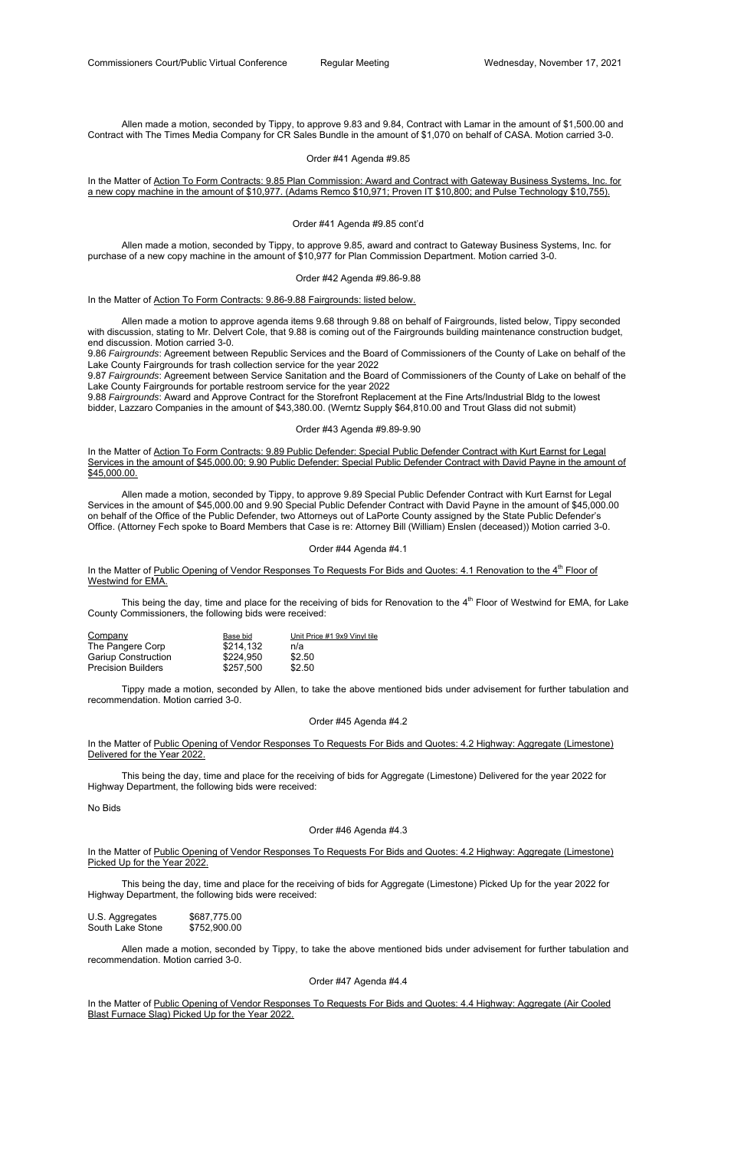Allen made a motion, seconded by Tippy, to approve 9.83 and 9.84, Contract with Lamar in the amount of \$1,500.00 and Contract with The Times Media Company for CR Sales Bundle in the amount of \$1,070 on behalf of CASA. Motion carried 3-0.

In the Matter of Action To Form Contracts: 9.85 Plan Commission: Award and Contract with Gateway Business Systems, Inc. for a new copy machine in the amount of \$10,977. (Adams Remco \$10,971; Proven IT \$10,800; and Pulse Technology \$10,755).

# Order #41 Agenda #9.85

#### Order #41 Agenda #9.85 cont'd

 Allen made a motion, seconded by Tippy, to approve 9.85, award and contract to Gateway Business Systems, Inc. for purchase of a new copy machine in the amount of \$10,977 for Plan Commission Department. Motion carried 3-0.

#### Order #42 Agenda #9.86-9.88

In the Matter of Action To Form Contracts: 9.86-9.88 Fairgrounds: listed below.

 Allen made a motion to approve agenda items 9.68 through 9.88 on behalf of Fairgrounds, listed below, Tippy seconded with discussion, stating to Mr. Delvert Cole, that 9.88 is coming out of the Fairgrounds building maintenance construction budget, end discussion. Motion carried 3-0.

9.86 *Fairgrounds*: Agreement between Republic Services and the Board of Commissioners of the County of Lake on behalf of the Lake County Fairgrounds for trash collection service for the year 2022

In the Matter of Public Opening of Vendor Responses To Requests For Bids and Quotes: 4.1 Renovation to the 4<sup>th</sup> Floor of Westwind for EMA.

This being the day, time and place for the receiving of bids for Renovation to the 4<sup>th</sup> Floor of Westwind for EMA, for Lake County Commissioners, the following bids were received:

9.87 *Fairgrounds*: Agreement between Service Sanitation and the Board of Commissioners of the County of Lake on behalf of the Lake County Fairgrounds for portable restroom service for the year 2022

9.88 *Fairgrounds*: Award and Approve Contract for the Storefront Replacement at the Fine Arts/Industrial Bldg to the lowest bidder, Lazzaro Companies in the amount of \$43,380.00. (Werntz Supply \$64,810.00 and Trout Glass did not submit)

# Order #43 Agenda #9.89-9.90

In the Matter of Public Opening of Vendor Responses To Requests For Bids and Quotes: 4.2 Highway: Aggregate (Limestone) Picked Up for the Year 2022.

In the Matter of Action To Form Contracts: 9.89 Public Defender: Special Public Defender Contract with Kurt Earnst for Legal Services in the amount of \$45,000.00; 9.90 Public Defender: Special Public Defender Contract with David Payne in the amount of \$45,000.00.

In the Matter of Public Opening of Vendor Responses To Requests For Bids and Quotes: 4.4 Highway: Aggregate (Air Cooled Blast Furnace Slag) Picked Up for the Year 2022.

 Allen made a motion, seconded by Tippy, to approve 9.89 Special Public Defender Contract with Kurt Earnst for Legal Services in the amount of \$45,000.00 and 9.90 Special Public Defender Contract with David Payne in the amount of \$45,000.00 on behalf of the Office of the Public Defender, two Attorneys out of LaPorte County assigned by the State Public Defender's Office. (Attorney Fech spoke to Board Members that Case is re: Attorney Bill (William) Enslen (deceased)) Motion carried 3-0.

#### Order #44 Agenda #4.1

| Company                    | Base bid  | Unit Price #1 9x9 Vinyl tile |
|----------------------------|-----------|------------------------------|
| The Pangere Corp           | \$214,132 | n/a                          |
| <b>Gariup Construction</b> | \$224,950 | \$2.50                       |
| <b>Precision Builders</b>  | \$257,500 | \$2.50                       |

 Tippy made a motion, seconded by Allen, to take the above mentioned bids under advisement for further tabulation and recommendation. Motion carried 3-0.

# Order #45 Agenda #4.2

In the Matter of Public Opening of Vendor Responses To Requests For Bids and Quotes: 4.2 Highway: Aggregate (Limestone) Delivered for the Year 2022.

 This being the day, time and place for the receiving of bids for Aggregate (Limestone) Delivered for the year 2022 for Highway Department, the following bids were received:

 This being the day, time and place for the receiving of bids for Aggregate (Limestone) Picked Up for the year 2022 for Highway Department, the following bids were received:

U.S. Aggregates \$687,775.00 South Lake Stone \$752,900.00

 Allen made a motion, seconded by Tippy, to take the above mentioned bids under advisement for further tabulation and recommendation. Motion carried 3-0.

Order #47 Agenda #4.4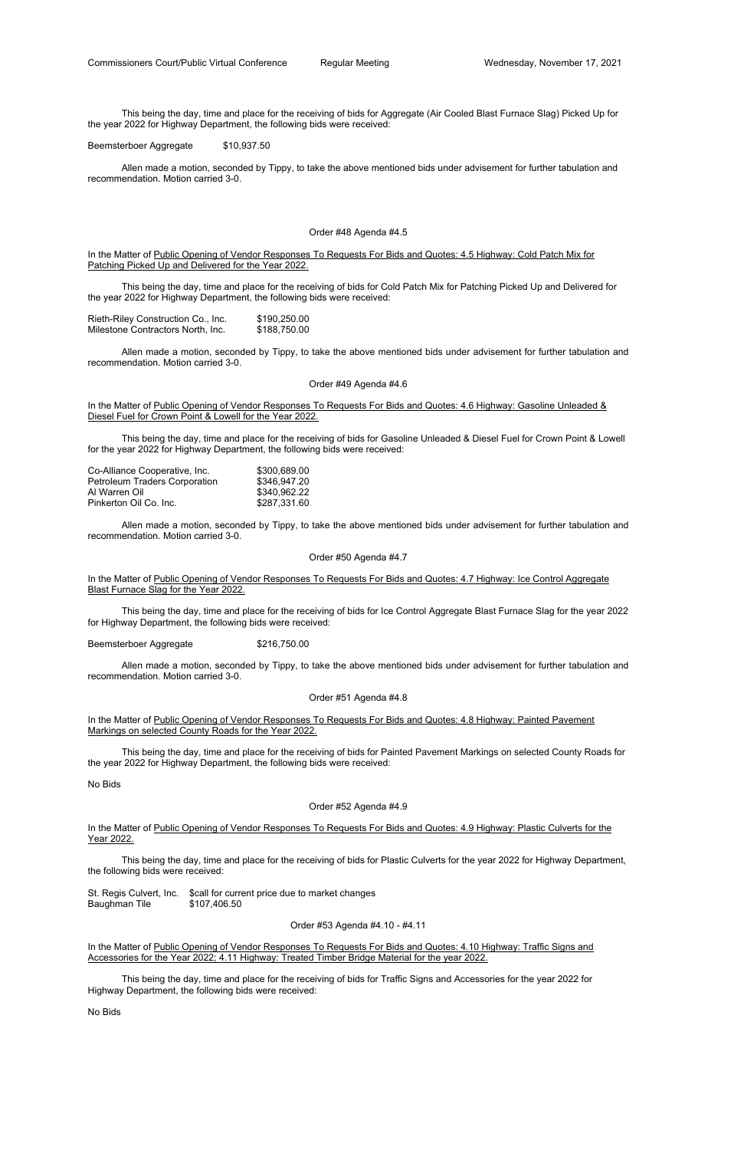This being the day, time and place for the receiving of bids for Aggregate (Air Cooled Blast Furnace Slag) Picked Up for the year 2022 for Highway Department, the following bids were received:

Beemsterboer Aggregate \$10,937.50

In the Matter of Public Opening of Vendor Responses To Requests For Bids and Quotes: 4.5 Highway: Cold Patch Mix for Patching Picked Up and Delivered for the Year 2022.

 Allen made a motion, seconded by Tippy, to take the above mentioned bids under advisement for further tabulation and recommendation. Motion carried 3-0.

# Order #48 Agenda #4.5

In the Matter of Public Opening of Vendor Responses To Requests For Bids and Quotes: 4.6 Highway: Gasoline Unleaded & Diesel Fuel for Crown Point & Lowell for the Year 2022.

 This being the day, time and place for the receiving of bids for Cold Patch Mix for Patching Picked Up and Delivered for the year 2022 for Highway Department, the following bids were received:

| Rieth-Riley Construction Co., Inc. | \$190,250.00 |
|------------------------------------|--------------|
| Milestone Contractors North, Inc.  | \$188,750.00 |

In the Matter of Public Opening of Vendor Responses To Requests For Bids and Quotes: 4.7 Highway: Ice Control Aggregate Blast Furnace Slag for the Year 2022.

 Allen made a motion, seconded by Tippy, to take the above mentioned bids under advisement for further tabulation and recommendation. Motion carried 3-0.

# Order #49 Agenda #4.6

In the Matter of Public Opening of Vendor Responses To Requests For Bids and Quotes: 4.8 Highway: Painted Pavement Markings on selected County Roads for the Year 2022.

 This being the day, time and place for the receiving of bids for Gasoline Unleaded & Diesel Fuel for Crown Point & Lowell for the year 2022 for Highway Department, the following bids were received:

In the Matter of Public Opening of Vendor Responses To Requests For Bids and Quotes: 4.9 Highway: Plastic Culverts for the Year 2022.

| Co-Alliance Cooperative, Inc.        | \$300,689.00 |
|--------------------------------------|--------------|
| <b>Petroleum Traders Corporation</b> | \$346,947.20 |
| Al Warren Oil                        | \$340,962.22 |
| Pinkerton Oil Co. Inc.               | \$287,331.60 |

In the Matter of Public Opening of Vendor Responses To Requests For Bids and Quotes: 4.10 Highway: Traffic Signs and Accessories for the Year 2022; 4.11 Highway: Treated Timber Bridge Material for the year 2022.

 Allen made a motion, seconded by Tippy, to take the above mentioned bids under advisement for further tabulation and recommendation. Motion carried 3-0.

#### Order #50 Agenda #4.7

 This being the day, time and place for the receiving of bids for Ice Control Aggregate Blast Furnace Slag for the year 2022 for Highway Department, the following bids were received:

Beemsterboer Aggregate \$216,750.00

 Allen made a motion, seconded by Tippy, to take the above mentioned bids under advisement for further tabulation and recommendation. Motion carried 3-0.

#### Order #51 Agenda #4.8

 This being the day, time and place for the receiving of bids for Painted Pavement Markings on selected County Roads for the year 2022 for Highway Department, the following bids were received:

No Bids

#### Order #52 Agenda #4.9

 This being the day, time and place for the receiving of bids for Plastic Culverts for the year 2022 for Highway Department, the following bids were received:

St. Regis Culvert, Inc. \$call for current price due to market changes Baughman Tile \$107,406.50

Order #53 Agenda #4.10 - #4.11

 This being the day, time and place for the receiving of bids for Traffic Signs and Accessories for the year 2022 for Highway Department, the following bids were received:

No Bids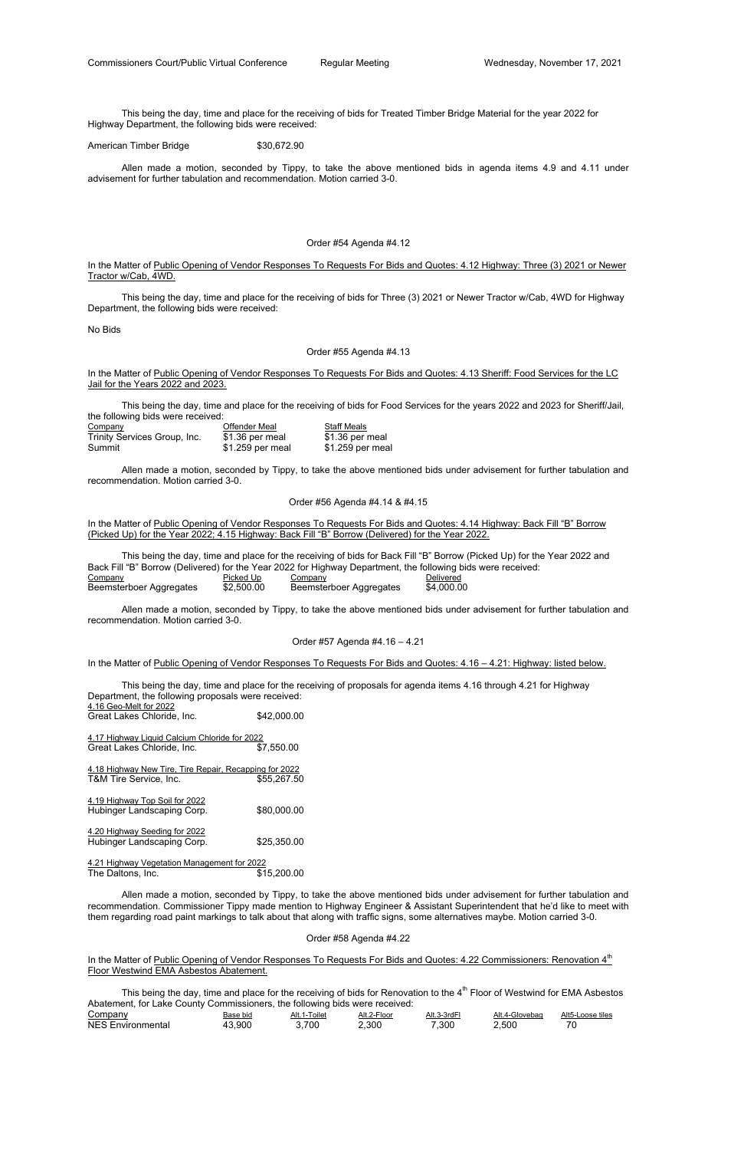This being the day, time and place for the receiving of bids for Treated Timber Bridge Material for the year 2022 for Highway Department, the following bids were received:

American Timber Bridge \$30,672.90

In the Matter of Public Opening of Vendor Responses To Requests For Bids and Quotes: 4.12 Highway: Three (3) 2021 or Newer Tractor w/Cab, 4WD.

 Allen made a motion, seconded by Tippy, to take the above mentioned bids in agenda items 4.9 and 4.11 under advisement for further tabulation and recommendation. Motion carried 3-0.

#### Order #54 Agenda #4.12

In the Matter of Public Opening of Vendor Responses To Requests For Bids and Quotes: 4.13 Sheriff: Food Services for the LC Jail for the Years 2022 and 2023.

 This being the day, time and place for the receiving of bids for Three (3) 2021 or Newer Tractor w/Cab, 4WD for Highway Department, the following bids were received:

No Bids

#### Order #55 Agenda #4.13

In the Matter of Public Opening of Vendor Responses To Requests For Bids and Quotes: 4.14 Highway: Back Fill "B" Borrow (Picked Up) for the Year 2022; 4.15 Highway: Back Fill "B" Borrow (Delivered) for the Year 2022.

 This being the day, time and place for the receiving of bids for Food Services for the years 2022 and 2023 for Sheriff/Jail, the following bids were received:

 This being the day, time and place for the receiving of proposals for agenda items 4.16 through 4.21 for Highway Department, the following proposals were received: 4.16 Geo-Melt for 2022 Great Lakes Chloride, Inc. \$42,000.00 4.17 Highway Liquid Calcium Chloride for 2022 Great Lakes Chloride, Inc. \$7,550.00

| Company                      | Offender Meal    | <b>Staff Meals</b> |
|------------------------------|------------------|--------------------|
| Trinity Services Group, Inc. | \$1.36 per meal  | \$1.36 per meal    |
| Summit                       | \$1.259 per meal | \$1.259 per meal   |

4.18 Highway New Tire, Tire Repair, Recapping for 2022 T&M Tire Service, Inc. 655,267.50

4.19 Highway Top Soil for 2022 Hubinger Landscaping Corp. \$80,000.00

 Allen made a motion, seconded by Tippy, to take the above mentioned bids under advisement for further tabulation and recommendation. Motion carried 3-0.

4.20 Highway Seeding for 2022 Hubinger Landscaping Corp. \$25,350.00

4.21 Highway Vegetation Management for 2022 The Daltons, Inc.

# Order #56 Agenda #4.14 & #4.15

In the Matter of Public Opening of Vendor Responses To Requests For Bids and Quotes: 4.22 Commissioners: Renovation 4<sup>th</sup> Floor Westwind EMA Asbestos Abatement.

This being the day, time and place for the receiving of bids for Renovation to the  $4<sup>th</sup>$  Floor of Westwind for EMA Asbestos Abatement, for Lake County Commissioners, the following bids were received:

 This being the day, time and place for the receiving of bids for Back Fill "B" Borrow (Picked Up) for the Year 2022 and Back Fill "B" Borrow (Delivered) for the Year 2022 for Highway Department, the following bids were received: Company **Picked Up** Company **Delivered** Beemsterboer Aggregates \$2,500.00 Beemsterboer Aggregates \$4,000.00

 Allen made a motion, seconded by Tippy, to take the above mentioned bids under advisement for further tabulation and recommendation. Motion carried 3-0.

#### Order #57 Agenda #4.16 – 4.21

In the Matter of Public Opening of Vendor Responses To Requests For Bids and Quotes: 4.16 - 4.21: Highway: listed below.

 Allen made a motion, seconded by Tippy, to take the above mentioned bids under advisement for further tabulation and recommendation. Commissioner Tippy made mention to Highway Engineer & Assistant Superintendent that he'd like to meet with them regarding road paint markings to talk about that along with traffic signs, some alternatives maybe. Motion carried 3-0.

# Order #58 Agenda #4.22

| Companv                   | Base bid | Alt.<br>∣ oıle: | Alt.2-<br>·Flooi | Alt.<br>3rdi | Alt.<br>3lovebad | $\triangle$ It $\Gamma$<br>_oose tiles |
|---------------------------|----------|-----------------|------------------|--------------|------------------|----------------------------------------|
| NE.<br>mental.<br>⊶nviro∟ | റവ       | 70L             | י ה<br>.3UK      | 300          | 500              |                                        |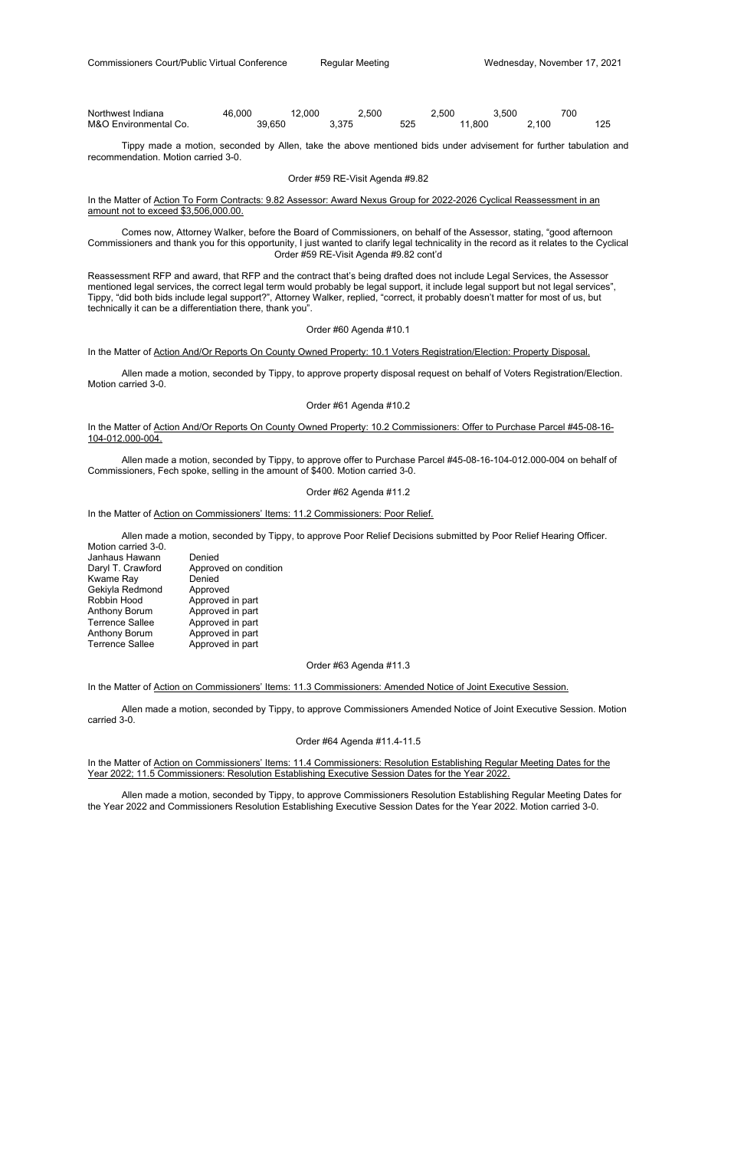| Northwest Indiana     | 46.000 | 000 | .,500 |           | -.500 | .500  | 70C |  |
|-----------------------|--------|-----|-------|-----------|-------|-------|-----|--|
| M&O Environmental Co. | 39.650 |     | 375ء  | らつら<br>U۷ | .800  | 2.100 |     |  |

# In the Matter of Action To Form Contracts: 9.82 Assessor: Award Nexus Group for 2022-2026 Cyclical Reassessment in an amount not to exceed \$3,506,000.00.

 Tippy made a motion, seconded by Allen, take the above mentioned bids under advisement for further tabulation and recommendation. Motion carried 3-0.

#### Order #59 RE-Visit Agenda #9.82

 Comes now, Attorney Walker, before the Board of Commissioners, on behalf of the Assessor, stating, "good afternoon Commissioners and thank you for this opportunity, I just wanted to clarify legal technicality in the record as it relates to the Cyclical Order #59 RE-Visit Agenda #9.82 cont'd

# In the Matter of Action And/Or Reports On County Owned Property: 10.2 Commissioners: Offer to Purchase Parcel #45-08-16-104-012.000-004.

Reassessment RFP and award, that RFP and the contract that's being drafted does not include Legal Services, the Assessor mentioned legal services, the correct legal term would probably be legal support, it include legal support but not legal services", Tippy, "did both bids include legal support?", Attorney Walker, replied, "correct, it probably doesn't matter for most of us, but technically it can be a differentiation there, thank you".

# Order #60 Agenda #10.1

#### In the Matter of Action And/Or Reports On County Owned Property: 10.1 Voters Registration/Election: Property Disposal.

In the Matter of Action on Commissioners' Items: 11.4 Commissioners: Resolution Establishing Regular Meeting Dates for the Year 2022; 11.5 Commissioners: Resolution Establishing Executive Session Dates for the Year 2022.

 Allen made a motion, seconded by Tippy, to approve property disposal request on behalf of Voters Registration/Election. Motion carried 3-0.

#### Order #61 Agenda #10.2

 Allen made a motion, seconded by Tippy, to approve offer to Purchase Parcel #45-08-16-104-012.000-004 on behalf of Commissioners, Fech spoke, selling in the amount of \$400. Motion carried 3-0.

#### Order #62 Agenda #11.2

# In the Matter of Action on Commissioners' Items: 11.2 Commissioners: Poor Relief.

 Allen made a motion, seconded by Tippy, to approve Poor Relief Decisions submitted by Poor Relief Hearing Officer. Motion carried 3-0.

| טיט וטוויון טאט וויטוויוו. |                       |
|----------------------------|-----------------------|
| Janhaus Hawann             | Denied                |
| Daryl T. Crawford          | Approved on condition |
| Kwame Ray                  | Denied                |
| Gekiyla Redmond            | Approved              |
| Robbin Hood                | Approved in part      |
| <b>Anthony Borum</b>       | Approved in part      |
| <b>Terrence Sallee</b>     | Approved in part      |
| <b>Anthony Borum</b>       | Approved in part      |
| <b>Terrence Sallee</b>     | Approved in part      |

# Order #63 Agenda #11.3

#### In the Matter of Action on Commissioners' Items: 11.3 Commissioners: Amended Notice of Joint Executive Session.

 Allen made a motion, seconded by Tippy, to approve Commissioners Amended Notice of Joint Executive Session. Motion carried 3-0.

#### Order #64 Agenda #11.4-11.5

 Allen made a motion, seconded by Tippy, to approve Commissioners Resolution Establishing Regular Meeting Dates for the Year 2022 and Commissioners Resolution Establishing Executive Session Dates for the Year 2022. Motion carried 3-0.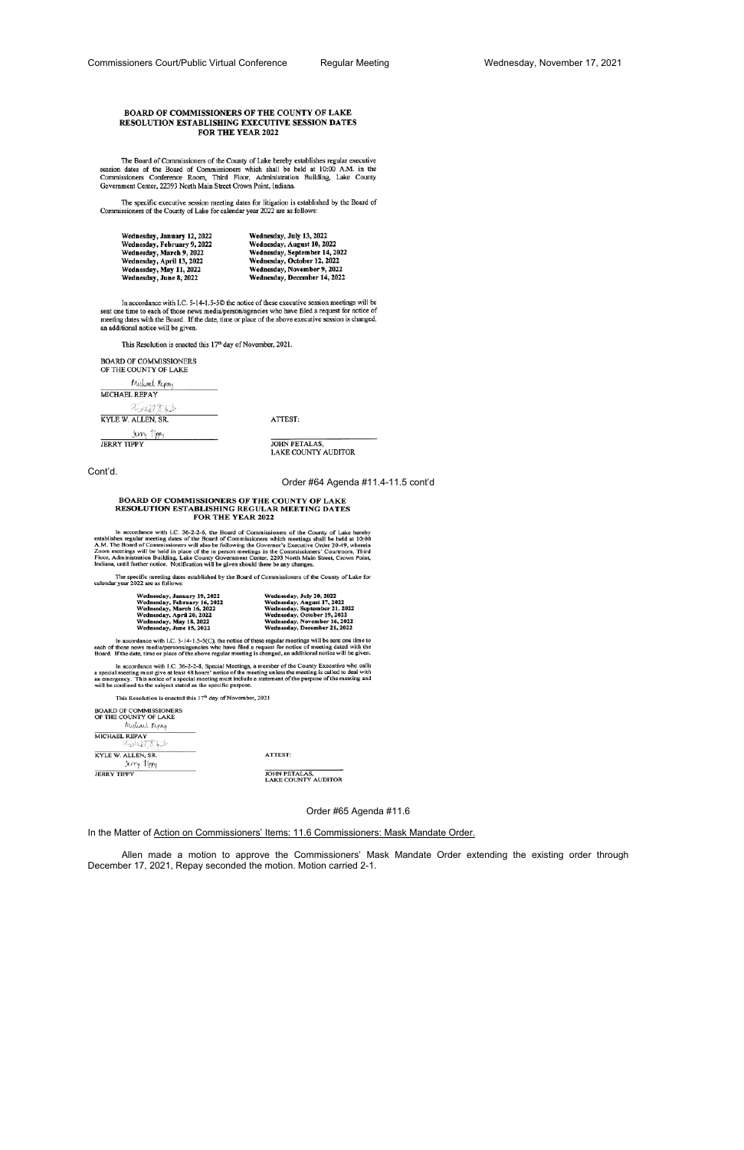#### BOARD OF COMMISSIONERS OF THE COUNTY OF LAKE RESOLUTION ESTABLISHING EXECUTIVE SESSION DATES FOR THE YEAR 2022

The Board of Commissioners of the County of Lake hereby establishes regular executive session dates of the Board of Commissioners which shall be held at 10:00 A.M. in the Commissioners Conference Room, Third Floor, Administration Building, Lake County Government Center, 22393 North Main Street Crown Point, Indiana.

The specific executive session meeting dates for litigation is established by the Board of Commissioners of the County of Lake for calendar year 2022 are as follows:

| Wednesday, January 12, 2022 | Wednesday, July 13, 2022      |
|-----------------------------|-------------------------------|
| Wednesday, February 9, 2022 | Wednesday, August 10, 2022    |
| Wednesday, March 9, 2022    | Wednesday, September 14, 2022 |
| Wednesday, April 13, 2022   | Wednesday, October 12, 2022   |
| Wednesday, May 11, 2022     | Wednesday, November 9, 2022   |
| Wednesday, June 8, 2022     | Wednesday, December 14, 2022  |

In accordance with I.C. 5-14-1.5-50 the notice of these executive session meetings will be sent one time to each of those news media/person/agencies who have filed a request for notice of meeting dates with the Board. If the date, time or place of the above executive session is changed, an additional notice will be given.

This Resolution is enacted this 17th day of November, 2021.

| <b>BOARD OF COMMISSIONERS</b><br>OF THE COUNTY OF LAKE |         |
|--------------------------------------------------------|---------|
| Michael Repay                                          |         |
| <b>MICHAEL REPAY</b>                                   |         |
| <b>KIETYTEK</b>                                        |         |
| KYLE W. ALLEN, SR.                                     | ATTEST: |
| 1um<br>JERRY TIPPY                                     | I PET   |

TALAS, LAKE COUNTY AUDITOR

Cont'd.

Order #64 Agenda #11.4-11.5 cont'd

# BOARD OF COMMISSIONERS OF THE COUNTY OF LAKE<br>RESOLUTION ESTABLISHING REGULAR MEETING DATES<br>FOR THE YEAR 2022

In accordance with I.C. 36-2-2-6, the Board of Commissioners of the County of Lake hereby<br>establishes regular meeting dates of the Board of Commissioners which meetings shall be held at 10:00<br>A.M. The Board of Commissioner

The specific meeting dates established by the Board of Commissioners of the County of Lake for calendar year 2022 are as follows:

| Vednesday, January 19, 2022  | Wednesday, July 20, 2022      |
|------------------------------|-------------------------------|
| Vednesday, February 16, 2022 | Wednesday, August 17, 2022    |
| Vednesday, March 16, 2022    | Wednesday, September 21, 2022 |
| Vednesday, April 20, 2022    | Wednesday, October 19, 2022   |
| Vednesday, May 18, 2022      | Wednesday, November 16, 2022  |
| Vednesday, June 15, 2022     | Wednesday, December 21, 2022  |
|                              |                               |

In accordance with I.C. 5-14-1.5-5(C), the notice of these regular meetings will be sent one time to each of those news media/persons/agencies who have filed a request for notice of meeting dated with the Board. If the da

In accordance with I.C. 36-2-2-8, Special Meetings, a member of the County Executive who calls<br>a special meeting must give at least 48 hours' notice of the meeting unless the meeting is called to deal with<br>an emergency. Th

This Resolution is enacted this 17<sup>th</sup> day of November, 2021

| <b>BOARD OF COMMISSIONERS</b><br>OF THE COUNTY OF LAKE<br>Michael Repay |                                             |
|-------------------------------------------------------------------------|---------------------------------------------|
| <b>MICHAEL REPAY</b><br>えいけんこと                                          |                                             |
| KYLE W. ALLEN, SR.<br>Jem, Tippy                                        | <b>ATTEST:</b>                              |
| <b>JERRY TIPPY</b>                                                      | JOHN PETALAS,<br><b>LAKE COUNTY AUDITOR</b> |

Order #65 Agenda #11.6

# In the Matter of Action on Commissioners' Items: 11.6 Commissioners: Mask Mandate Order.

 Allen made a motion to approve the Commissioners' Mask Mandate Order extending the existing order through December 17, 2021, Repay seconded the motion. Motion carried 2-1.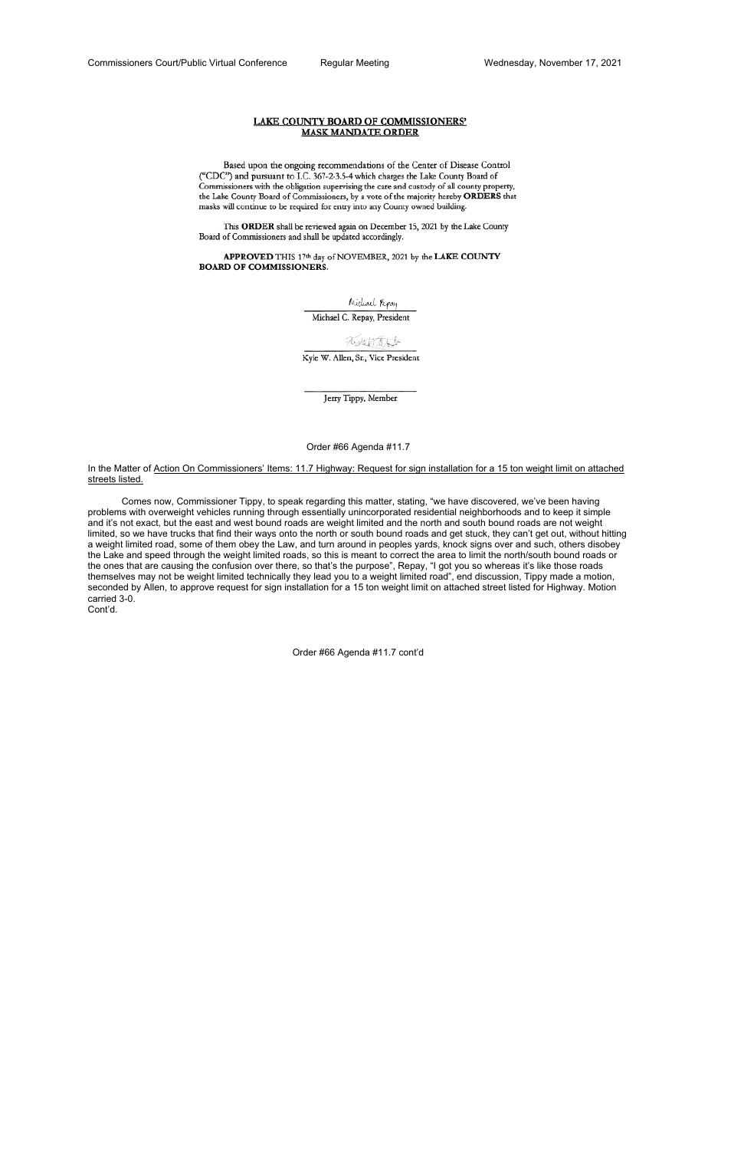# LAKE COUNTY BOARD OF COMMISSIONERS' **MASK MANDATE ORDER**

Based upon the ongoing recommendations of the Center of Disease Control ("CDC") and pursuant to I.C. 367-2-3.5-4 which charges the Lake County Board of Commissioners with the obligation supervising the care and custody of all county property, the Lake County Board of Commissioners, by a vote of the majority hereby ORDERS that masks will continue to be required for entry into any County owned building.

This ORDER shall be reviewed again on December 15, 2021 by the Lake County Board of Commissioners and shall be updated accordingly.

APPROVED THIS 17th day of NOVEMBER, 2021 by the LAKE COUNTY **BOARD OF COMMISSIONERS.** 

Michael Repay

Michael C. Repay, President

# Notential

Kyle W. Allen, Sr., Vice President

Jerry Tippy, Member

Order #66 Agenda #11.7

In the Matter of Action On Commissioners' Items: 11.7 Highway: Request for sign installation for a 15 ton weight limit on attached streets listed.

 Comes now, Commissioner Tippy, to speak regarding this matter, stating, "we have discovered, we've been having problems with overweight vehicles running through essentially unincorporated residential neighborhoods and to keep it simple and it's not exact, but the east and west bound roads are weight limited and the north and south bound roads are not weight limited, so we have trucks that find their ways onto the north or south bound roads and get stuck, they can't get out, without hitting a weight limited road, some of them obey the Law, and turn around in peoples yards, knock signs over and such, others disobey the Lake and speed through the weight limited roads, so this is meant to correct the area to limit the north/south bound roads or the ones that are causing the confusion over there, so that's the purpose", Repay, "I got you so whereas it's like those roads themselves may not be weight limited technically they lead you to a weight limited road", end discussion, Tippy made a motion, seconded by Allen, to approve request for sign installation for a 15 ton weight limit on attached street listed for Highway. Motion carried 3-0.

Cont'd.

Order #66 Agenda #11.7 cont'd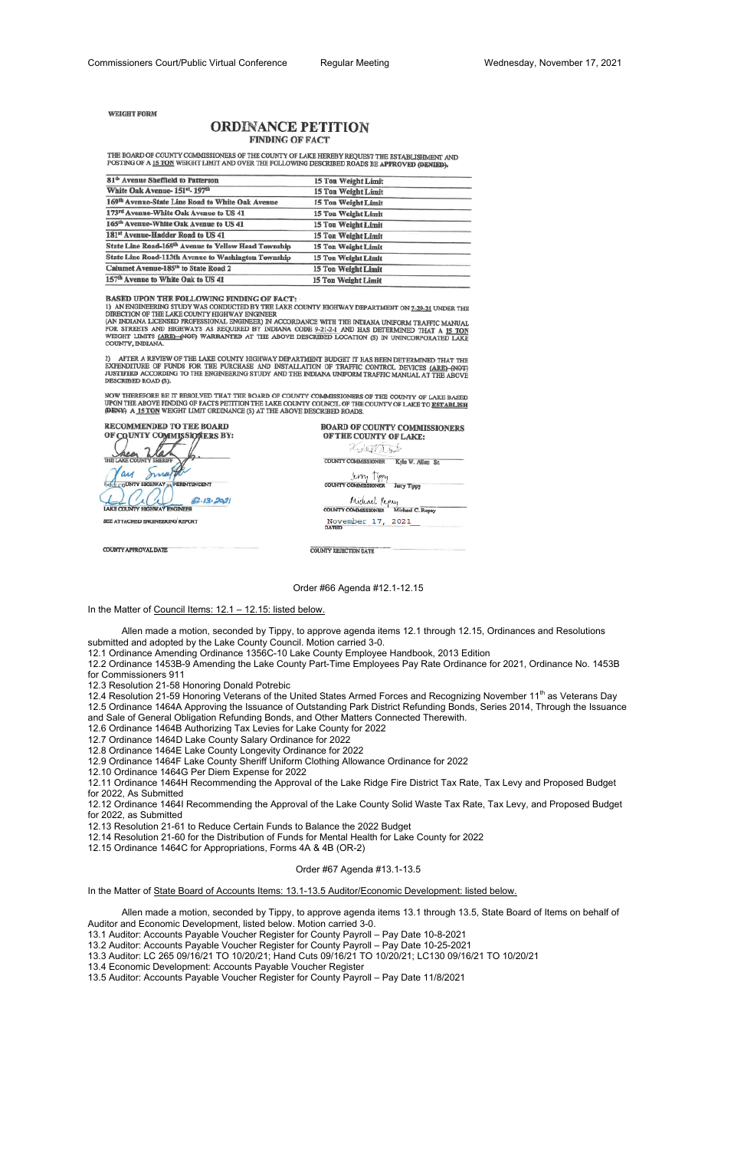**WEIGHT FORM** 

# **ORDINANCE PETITION FINDING OF FACT**

THE BOARD OF COUNTY COMMISSIONERS OF THE COUNTY OF LAKE HEREBY REQUEST THE ESTABLISHMENT AND POSTING OF A 15 TON WEIGHT LIMIT AND OVER THE FOLLOWING DESCRIBED ROADS BE APPROVED (DENIED).

| 81 <sup>th</sup> Avenue Sheffield to Patterson               | 15 Ton Weight Limit        |  |
|--------------------------------------------------------------|----------------------------|--|
| White Oak Avenue- 151st- 197th                               | 15 Ton Weight Limit        |  |
| 169 <sup>th</sup> Avenue-State Line Road to White Oak Avenue | <b>15 Ton Weight Limit</b> |  |
| 173rd Avenue-White Oak Avenue to US 41                       | 15 Ton Weight Limit        |  |
| 165th Avenue-White Oak Avenue to US 41                       | <b>15 Ton Weight Limit</b> |  |
| 181st Avenue-Hadder Road to US 41                            | 15 Ton Weight Limit        |  |
| State Line Road-169th Avenue to Yellow Head Township         | <b>15 Ton Weight Limit</b> |  |
| State Line Road-113th Avenue to Washington Township          | 15 Ton Weight Limit        |  |
| Calumet Avenue-185th to State Road 2                         | 15 Ton Weight Limit        |  |
| 157 <sup>th</sup> Avenue to White Oak to US 41               | <b>15 Ton Weight Limit</b> |  |
|                                                              |                            |  |

BASED UPON THE FOLLOWING FINDING OF FACT:

1) AN ENGINEERING STUDY WAS CONDUCTED BY THE LAKE COUNTY HIGHWAY DEPARTMENT ON  $\underline{\textbf{7-29-21}}$  UNDER THE DIRECTION OF THE LAKE COUNTY HIGHWAY ENGINEER

(AN INDIANA LICENSED PROFESSIONAL ENGINEER) IN ACCORDANCE WITH THE INDIANA UNIFORM TRAFFIC MANUAL FOR STREETS AND HIGHWAYS AS REQUIRED BY INDIANA CODE 9-21-2-1 AND HAS DETERMINED THAT A 15 TON WEIGHT LIMITS (ARE)-(NOT) WARRANTED AT THE ABOVE DESCRIBED LOCATION (S) IN UNINCORPORATED LAKE COUNTY, INDIANA

AFTER A REVIEW OF THE LAKE COUNTY HIGHWAY DEPARTMENT BUDGET IT HAS BEEN DETERMINED THAT THE EXPENDITURE OF FUNDS FOR THE PURCHASE AND INSTALLATION OF TRAFFIC CONTROL DEVICES (ARE) (NOT) JUSTIFIED ACCORDING TO THE ENGINEERING STUDY AND THE INDIANA UNIFORM TRAFFIC MANUAL AT THE ABOVE DESCRIBED ROAD (S).

NOW THEREFORE BE IT RESOLVED THAT THE BOARD OF COUNTY COMMISSIONERS OF THE COUNTY OF LAKE BASED UPON THE ABOVE FINDING OF FACTS PETITION THE LAKE COUNTY COUNCIL OF THE COUNTY OF LAKE TO ESTABLISH (DENY) A 15 TON WEIGHT LIMIT ORDINANCE (S) AT THE ABOVE DESCRIBED ROADS.

RECOMMENDED TO THE BOARD OF COUNTY COMMISSIONERS BY: THE LAKE COUNT ay Ima **COUNTY HIGHWAY SUPERINTENDENT**  $6.13.292$ LAKE COUNTY HIGHWAY ENGINEER

SEE ATTACHED ENGINEERING REPORT

COUNTY APPROVAL DATE

**BOARD OF COUNTY COMMISSIONERS** OF THE COUNTY OF LAKE: *Aystrato* COUNTY COMMISSIONER Kyle W. Allen Sr.

Jerry Tippy **COUNTY COMMISSIONER** Jerry Tippy

Midiael Repay Michael C. Repay COUNTY COMMISSIONER

November 17, 2021

**COUNTY REJECTION DATE** 

Order #66 Agenda #12.1-12.15

In the Matter of Council Items: 12.1 - 12.15: listed below.

 Allen made a motion, seconded by Tippy, to approve agenda items 12.1 through 12.15, Ordinances and Resolutions submitted and adopted by the Lake County Council. Motion carried 3-0.

12.1 Ordinance Amending Ordinance 1356C-10 Lake County Employee Handbook, 2013 Edition

12.4 Resolution 21-59 Honoring Veterans of the United States Armed Forces and Recognizing November 11<sup>th</sup> as Veterans Day 12.5 Ordinance 1464A Approving the Issuance of Outstanding Park District Refunding Bonds, Series 2014, Through the Issuance and Sale of General Obligation Refunding Bonds, and Other Matters Connected Therewith.

12.2 Ordinance 1453B-9 Amending the Lake County Part-Time Employees Pay Rate Ordinance for 2021, Ordinance No. 1453B for Commissioners 911

12.3 Resolution 21-58 Honoring Donald Potrebic

12.6 Ordinance 1464B Authorizing Tax Levies for Lake County for 2022

12.7 Ordinance 1464D Lake County Salary Ordinance for 2022

12.8 Ordinance 1464E Lake County Longevity Ordinance for 2022

12.9 Ordinance 1464F Lake County Sheriff Uniform Clothing Allowance Ordinance for 2022

12.10 Ordinance 1464G Per Diem Expense for 2022

12.11 Ordinance 1464H Recommending the Approval of the Lake Ridge Fire District Tax Rate, Tax Levy and Proposed Budget for 2022, As Submitted

12.12 Ordinance 1464I Recommending the Approval of the Lake County Solid Waste Tax Rate, Tax Levy, and Proposed Budget for 2022, as Submitted

12.13 Resolution 21-61 to Reduce Certain Funds to Balance the 2022 Budget

12.14 Resolution 21-60 for the Distribution of Funds for Mental Health for Lake County for 2022

12.15 Ordinance 1464C for Appropriations, Forms 4A & 4B (OR-2)

Order #67 Agenda #13.1-13.5

In the Matter of State Board of Accounts Items: 13.1-13.5 Auditor/Economic Development: listed below.

 Allen made a motion, seconded by Tippy, to approve agenda items 13.1 through 13.5, State Board of Items on behalf of Auditor and Economic Development, listed below. Motion carried 3-0. 13.1 Auditor: Accounts Payable Voucher Register for County Payroll – Pay Date 10-8-2021 13.2 Auditor: Accounts Payable Voucher Register for County Payroll – Pay Date 10-25-2021 13.3 Auditor: LC 265 09/16/21 TO 10/20/21; Hand Cuts 09/16/21 TO 10/20/21; LC130 09/16/21 TO 10/20/21 13.4 Economic Development: Accounts Payable Voucher Register 13.5 Auditor: Accounts Payable Voucher Register for County Payroll – Pay Date 11/8/2021